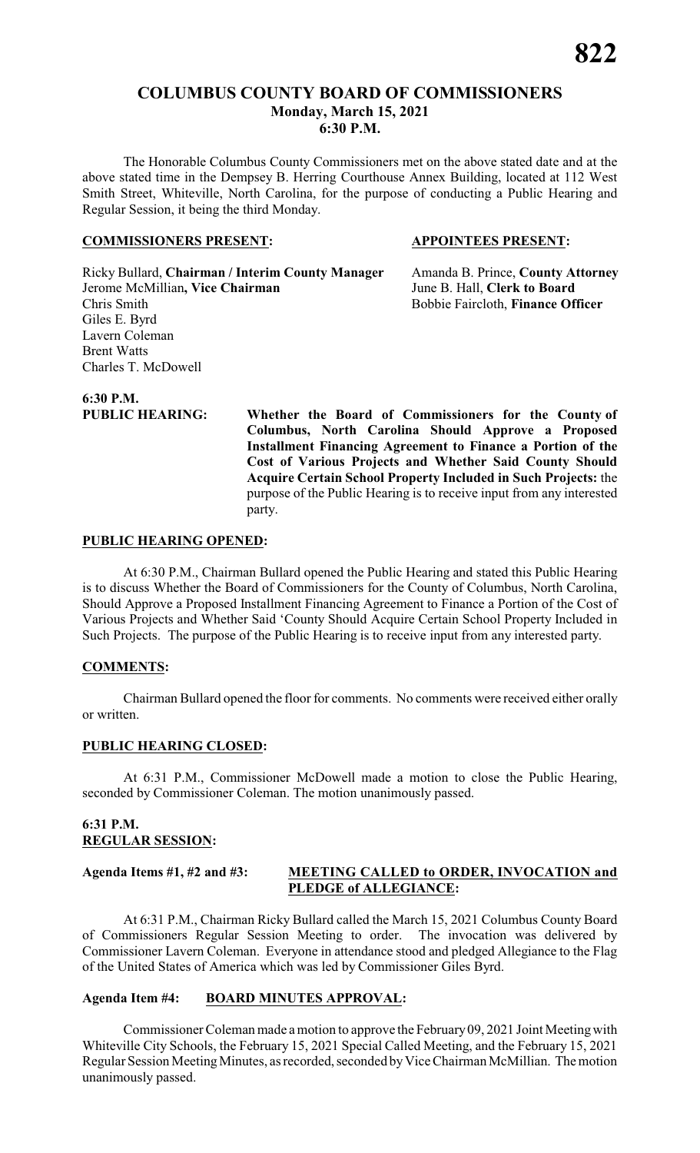#### **COLUMBUS COUNTY BOARD OF COMMISSIONERS Monday, March 15, 2021 6:30 P.M.**

The Honorable Columbus County Commissioners met on the above stated date and at the above stated time in the Dempsey B. Herring Courthouse Annex Building, located at 112 West Smith Street, Whiteville, North Carolina, for the purpose of conducting a Public Hearing and Regular Session, it being the third Monday.

#### **COMMISSIONERS PRESENT: APPOINTEES PRESENT:**

Ricky Bullard, **Chairman / Interim County Manager** Amanda B. Prince, **County Attorney** Jerome McMillian**, Vice Chairman** June B. Hall, **Clerk to Board** Chris Smith Bobbie Faircloth, **Finance Officer** Giles E. Byrd Lavern Coleman Brent Watts Charles T. McDowell

**6:30 P.M.**

**PUBLIC HEARING: Whether the Board of Commissioners for the County of Columbus, North Carolina Should Approve a Proposed Installment Financing Agreement to Finance a Portion of the Cost of Various Projects and Whether Said County Should Acquire Certain School Property Included in Such Projects:** the purpose of the Public Hearing is to receive input from any interested party.

#### **PUBLIC HEARING OPENED:**

At 6:30 P.M., Chairman Bullard opened the Public Hearing and stated this Public Hearing is to discuss Whether the Board of Commissioners for the County of Columbus, North Carolina, Should Approve a Proposed Installment Financing Agreement to Finance a Portion of the Cost of Various Projects and Whether Said 'County Should Acquire Certain School Property Included in Such Projects. The purpose of the Public Hearing is to receive input from any interested party.

#### **COMMENTS:**

Chairman Bullard opened the floor for comments. No comments were received either orally or written.

#### **PUBLIC HEARING CLOSED:**

At 6:31 P.M., Commissioner McDowell made a motion to close the Public Hearing, seconded by Commissioner Coleman. The motion unanimously passed.

#### **6:31 P.M. REGULAR SESSION:**

#### **Agenda Items #1, #2 and #3: MEETING CALLED to ORDER, INVOCATION and PLEDGE of ALLEGIANCE:**

At 6:31 P.M., Chairman Ricky Bullard called the March 15, 2021 Columbus County Board of Commissioners Regular Session Meeting to order. The invocation was delivered by Commissioner Lavern Coleman. Everyone in attendance stood and pledged Allegiance to the Flag of the United States of America which was led by Commissioner Giles Byrd.

#### **Agenda Item #4: BOARD MINUTES APPROVAL:**

Commissioner Coleman made a motion to approve the February09, 2021 Joint Meetingwith Whiteville City Schools, the February 15, 2021 Special Called Meeting, and the February 15, 2021 Regular Session MeetingMinutes, as recorded, seconded byVice Chairman McMillian. The motion unanimously passed.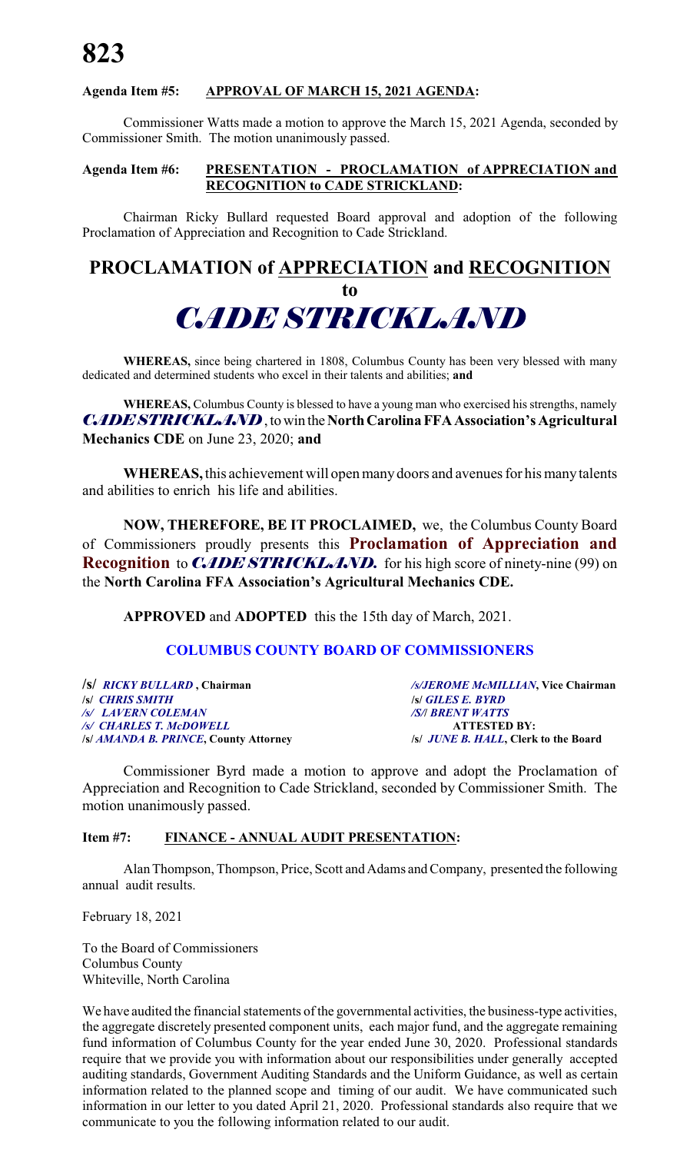### **Agenda Item #5: APPROVAL OF MARCH 15, 2021 AGENDA:**

Commissioner Watts made a motion to approve the March 15, 2021 Agenda, seconded by Commissioner Smith. The motion unanimously passed.

#### **Agenda Item #6: PRESENTATION - PROCLAMATION of APPRECIATION and RECOGNITION to CADE STRICKLAND:**

Chairman Ricky Bullard requested Board approval and adoption of the following Proclamation of Appreciation and Recognition to Cade Strickland.

## **PROCLAMATION of APPRECIATION and RECOGNITION**

## **to** *CADE STRICKLAND*

**WHEREAS,** since being chartered in 1808, Columbus County has been very blessed with many dedicated and determined students who excel in their talents and abilities; **and**

**WHEREAS,** Columbus County is blessed to have a young man who exercised his strengths, namely *CADE STRICKLAND*, to win the North Carolina FFA Association's Agricultural **Mechanics CDE** on June 23, 2020; **and**

**WHEREAS,** this achievement will open manydoors and avenues for his manytalents and abilities to enrich his life and abilities.

**NOW, THEREFORE, BE IT PROCLAIMED,** we, the Columbus County Board of Commissioners proudly presents this **Proclamation of Appreciation and Recognition** to *CADE STRICKLAND*. for his high score of ninety-nine (99) on the **North Carolina FFA Association's Agricultural Mechanics CDE.**

**APPROVED** and **ADOPTED** this the 15th day of March, 2021.

#### **COLUMBUS COUNTY BOARD OF COMMISSIONERS**

| /S/ RICKY BULLARD, Chairman           | /s/JEROME McMILLIAN, Vice Chairman         |
|---------------------------------------|--------------------------------------------|
| <i><b>ISI</b></i> CHRIS SMITH         | <b>S GILES E. BYRD</b>                     |
| /s/ LAVERN COLEMAN                    | <b>SA BRENT WATTS</b>                      |
| /s/ CHARLES T. McDOWELL               | <b>ATTESTED BY:</b>                        |
| /s/ AMANDA B. PRINCE, County Attorney | <i>s JUNE B. HALL</i> , Clerk to the Board |

Commissioner Byrd made a motion to approve and adopt the Proclamation of Appreciation and Recognition to Cade Strickland, seconded by Commissioner Smith. The motion unanimously passed.

#### **Item #7: FINANCE - ANNUAL AUDIT PRESENTATION:**

Alan Thompson, Thompson, Price, Scott and Adams and Company, presented the following annual audit results.

February 18, 2021

To the Board of Commissioners Columbus County Whiteville, North Carolina

We have audited the financial statements of the governmental activities, the business-type activities, the aggregate discretely presented component units, each major fund, and the aggregate remaining fund information of Columbus County for the year ended June 30, 2020. Professional standards require that we provide you with information about our responsibilities under generally accepted auditing standards, Government Auditing Standards and the Uniform Guidance, as well as certain information related to the planned scope and timing of our audit. We have communicated such information in our letter to you dated April 21, 2020. Professional standards also require that we communicate to you the following information related to our audit.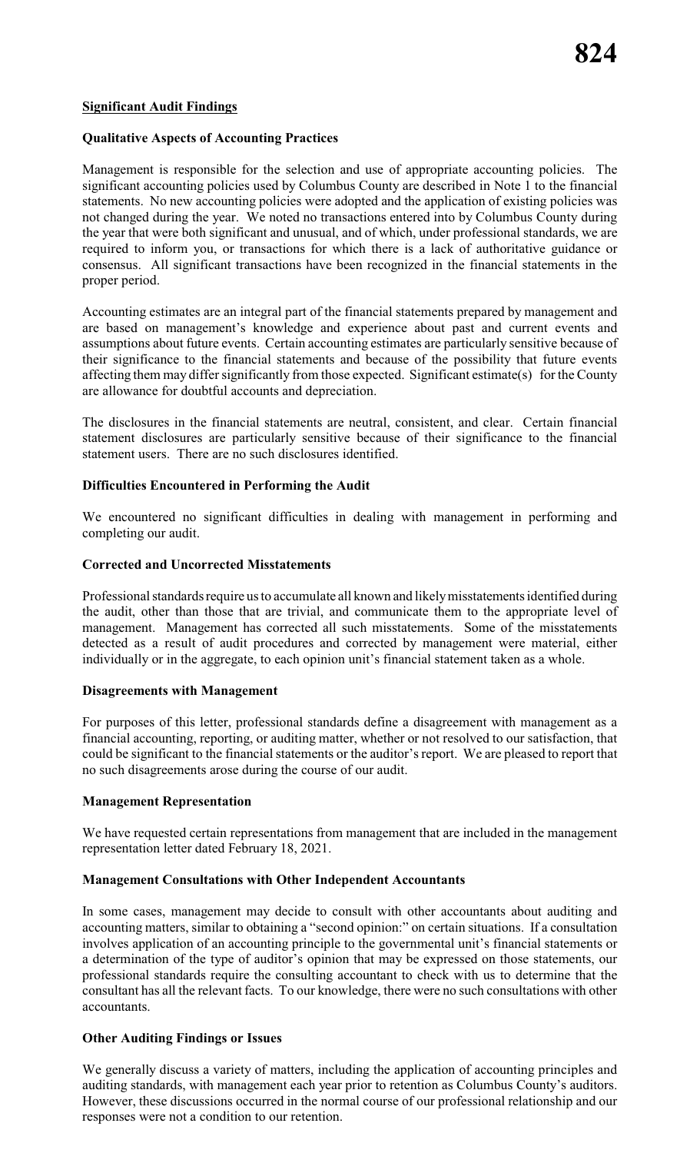#### **Significant Audit Findings**

#### **Qualitative Aspects of Accounting Practices**

Management is responsible for the selection and use of appropriate accounting policies. The significant accounting policies used by Columbus County are described in Note 1 to the financial statements. No new accounting policies were adopted and the application of existing policies was not changed during the year. We noted no transactions entered into by Columbus County during the year that were both significant and unusual, and of which, under professional standards, we are required to inform you, or transactions for which there is a lack of authoritative guidance or consensus. All significant transactions have been recognized in the financial statements in the proper period.

Accounting estimates are an integral part of the financial statements prepared by management and are based on management's knowledge and experience about past and current events and assumptions about future events. Certain accounting estimates are particularly sensitive because of their significance to the financial statements and because of the possibility that future events affecting them may differ significantly from those expected. Significant estimate(s) for the County are allowance for doubtful accounts and depreciation.

The disclosures in the financial statements are neutral, consistent, and clear. Certain financial statement disclosures are particularly sensitive because of their significance to the financial statement users. There are no such disclosures identified.

#### **Difficulties Encountered in Performing the Audit**

We encountered no significant difficulties in dealing with management in performing and completing our audit.

#### **Corrected and Uncorrected Misstatements**

Professional standards require us to accumulate all known and likelymisstatements identified during the audit, other than those that are trivial, and communicate them to the appropriate level of management. Management has corrected all such misstatements. Some of the misstatements detected as a result of audit procedures and corrected by management were material, either individually or in the aggregate, to each opinion unit's financial statement taken as a whole.

#### **Disagreements with Management**

For purposes of this letter, professional standards define a disagreement with management as a financial accounting, reporting, or auditing matter, whether or not resolved to our satisfaction, that could be significant to the financial statements or the auditor's report. We are pleased to report that no such disagreements arose during the course of our audit.

#### **Management Representation**

We have requested certain representations from management that are included in the management representation letter dated February 18, 2021.

#### **Management Consultations with Other Independent Accountants**

In some cases, management may decide to consult with other accountants about auditing and accounting matters, similar to obtaining a "second opinion:" on certain situations. If a consultation involves application of an accounting principle to the governmental unit's financial statements or a determination of the type of auditor's opinion that may be expressed on those statements, our professional standards require the consulting accountant to check with us to determine that the consultant has all the relevant facts. To our knowledge, there were no such consultations with other accountants.

#### **Other Auditing Findings or Issues**

We generally discuss a variety of matters, including the application of accounting principles and auditing standards, with management each year prior to retention as Columbus County's auditors. However, these discussions occurred in the normal course of our professional relationship and our responses were not a condition to our retention.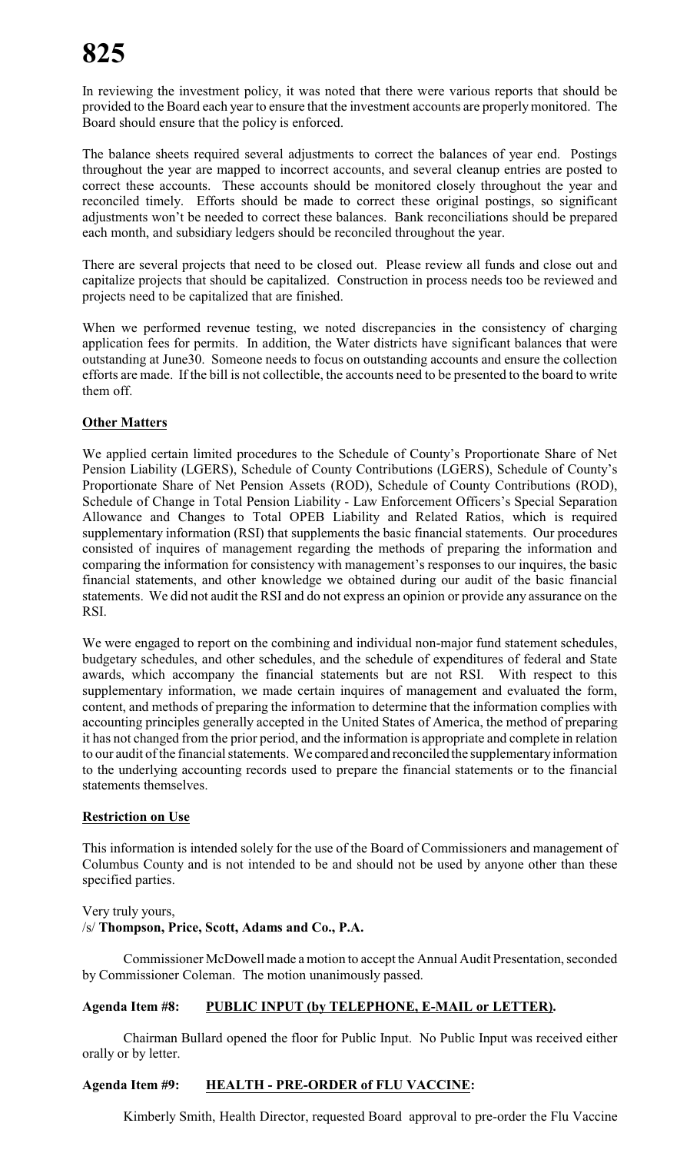In reviewing the investment policy, it was noted that there were various reports that should be provided to the Board each year to ensure that the investment accounts are properlymonitored. The Board should ensure that the policy is enforced.

The balance sheets required several adjustments to correct the balances of year end. Postings throughout the year are mapped to incorrect accounts, and several cleanup entries are posted to correct these accounts. These accounts should be monitored closely throughout the year and reconciled timely. Efforts should be made to correct these original postings, so significant adjustments won't be needed to correct these balances. Bank reconciliations should be prepared each month, and subsidiary ledgers should be reconciled throughout the year.

There are several projects that need to be closed out. Please review all funds and close out and capitalize projects that should be capitalized. Construction in process needs too be reviewed and projects need to be capitalized that are finished.

When we performed revenue testing, we noted discrepancies in the consistency of charging application fees for permits. In addition, the Water districts have significant balances that were outstanding at June30. Someone needs to focus on outstanding accounts and ensure the collection efforts are made. If the bill is not collectible, the accounts need to be presented to the board to write them off.

#### **Other Matters**

We applied certain limited procedures to the Schedule of County's Proportionate Share of Net Pension Liability (LGERS), Schedule of County Contributions (LGERS), Schedule of County's Proportionate Share of Net Pension Assets (ROD), Schedule of County Contributions (ROD), Schedule of Change in Total Pension Liability - Law Enforcement Officers's Special Separation Allowance and Changes to Total OPEB Liability and Related Ratios, which is required supplementary information (RSI) that supplements the basic financial statements. Our procedures consisted of inquires of management regarding the methods of preparing the information and comparing the information for consistency with management's responses to our inquires, the basic financial statements, and other knowledge we obtained during our audit of the basic financial statements. We did not audit the RSI and do not express an opinion or provide any assurance on the RSI.

We were engaged to report on the combining and individual non-major fund statement schedules, budgetary schedules, and other schedules, and the schedule of expenditures of federal and State awards, which accompany the financial statements but are not RSI. With respect to this supplementary information, we made certain inquires of management and evaluated the form, content, and methods of preparing the information to determine that the information complies with accounting principles generally accepted in the United States of America, the method of preparing it has not changed from the prior period, and the information is appropriate and complete in relation to our audit of the financial statements. We compared and reconciled the supplementary information to the underlying accounting records used to prepare the financial statements or to the financial statements themselves.

#### **Restriction on Use**

This information is intended solely for the use of the Board of Commissioners and management of Columbus County and is not intended to be and should not be used by anyone other than these specified parties.

#### Very truly yours,

#### /s/ **Thompson, Price, Scott, Adams and Co., P.A.**

Commissioner McDowell made a motion to accept the Annual Audit Presentation, seconded by Commissioner Coleman. The motion unanimously passed.

#### **Agenda Item #8: PUBLIC INPUT (by TELEPHONE, E-MAIL or LETTER).**

Chairman Bullard opened the floor for Public Input. No Public Input was received either orally or by letter.

#### **Agenda Item #9: HEALTH - PRE-ORDER of FLU VACCINE:**

Kimberly Smith, Health Director, requested Board approval to pre-order the Flu Vaccine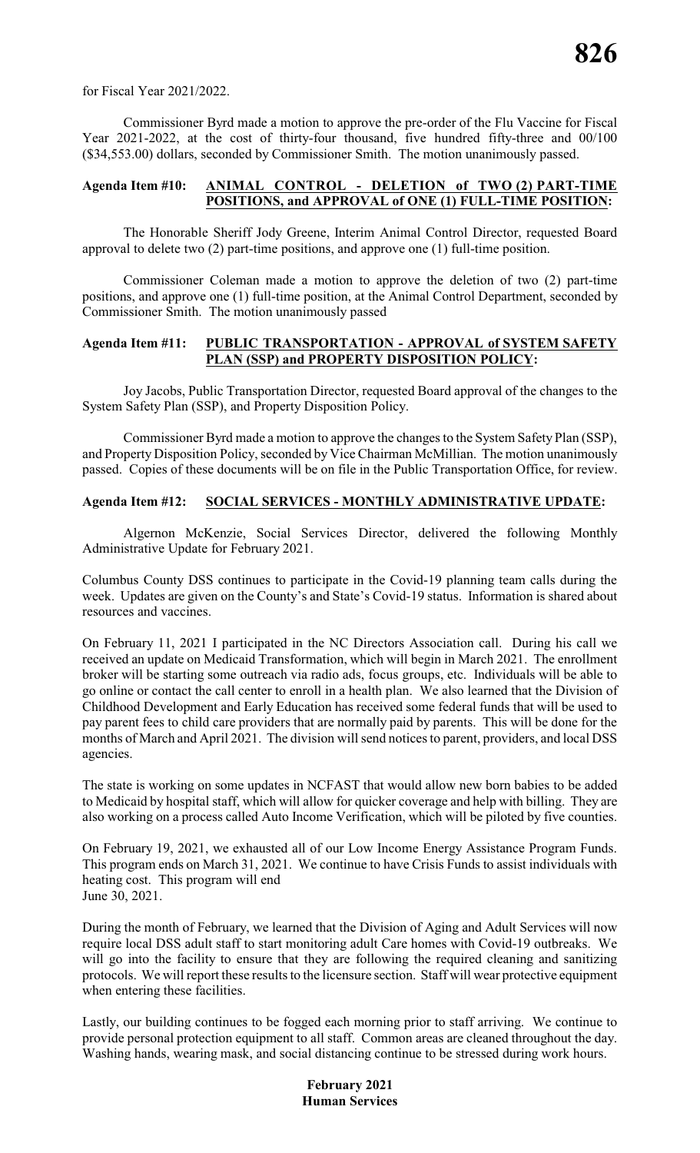for Fiscal Year 2021/2022.

Commissioner Byrd made a motion to approve the pre-order of the Flu Vaccine for Fiscal Year 2021-2022, at the cost of thirty-four thousand, five hundred fifty-three and 00/100 (\$34,553.00) dollars, seconded by Commissioner Smith. The motion unanimously passed.

#### **Agenda Item #10: ANIMAL CONTROL - DELETION of TWO (2) PART-TIME POSITIONS, and APPROVAL of ONE (1) FULL-TIME POSITION:**

The Honorable Sheriff Jody Greene, Interim Animal Control Director, requested Board approval to delete two (2) part-time positions, and approve one (1) full-time position.

Commissioner Coleman made a motion to approve the deletion of two (2) part-time positions, and approve one (1) full-time position, at the Animal Control Department, seconded by Commissioner Smith. The motion unanimously passed

#### **Agenda Item #11: PUBLIC TRANSPORTATION - APPROVAL of SYSTEM SAFETY PLAN (SSP) and PROPERTY DISPOSITION POLICY:**

Joy Jacobs, Public Transportation Director, requested Board approval of the changes to the System Safety Plan (SSP), and Property Disposition Policy.

Commissioner Byrd made a motion to approve the changes to the System Safety Plan (SSP), and Property Disposition Policy, seconded by Vice Chairman McMillian. The motion unanimously passed. Copies of these documents will be on file in the Public Transportation Office, for review.

#### **Agenda Item #12: SOCIAL SERVICES - MONTHLY ADMINISTRATIVE UPDATE:**

Algernon McKenzie, Social Services Director, delivered the following Monthly Administrative Update for February 2021.

Columbus County DSS continues to participate in the Covid-19 planning team calls during the week. Updates are given on the County's and State's Covid-19 status. Information is shared about resources and vaccines.

On February 11, 2021 I participated in the NC Directors Association call. During his call we received an update on Medicaid Transformation, which will begin in March 2021. The enrollment broker will be starting some outreach via radio ads, focus groups, etc. Individuals will be able to go online or contact the call center to enroll in a health plan. We also learned that the Division of Childhood Development and Early Education has received some federal funds that will be used to pay parent fees to child care providers that are normally paid by parents. This will be done for the months of March and April 2021. The division will send notices to parent, providers, and local DSS agencies.

The state is working on some updates in NCFAST that would allow new born babies to be added to Medicaid by hospital staff, which will allow for quicker coverage and help with billing. They are also working on a process called Auto Income Verification, which will be piloted by five counties.

On February 19, 2021, we exhausted all of our Low Income Energy Assistance Program Funds. This program ends on March 31, 2021. We continue to have Crisis Funds to assist individuals with heating cost. This program will end June 30, 2021.

During the month of February, we learned that the Division of Aging and Adult Services will now require local DSS adult staff to start monitoring adult Care homes with Covid-19 outbreaks. We will go into the facility to ensure that they are following the required cleaning and sanitizing protocols. We will report these results to the licensure section. Staff will wear protective equipment when entering these facilities.

Lastly, our building continues to be fogged each morning prior to staff arriving. We continue to provide personal protection equipment to all staff. Common areas are cleaned throughout the day. Washing hands, wearing mask, and social distancing continue to be stressed during work hours.

> **February 2021 Human Services**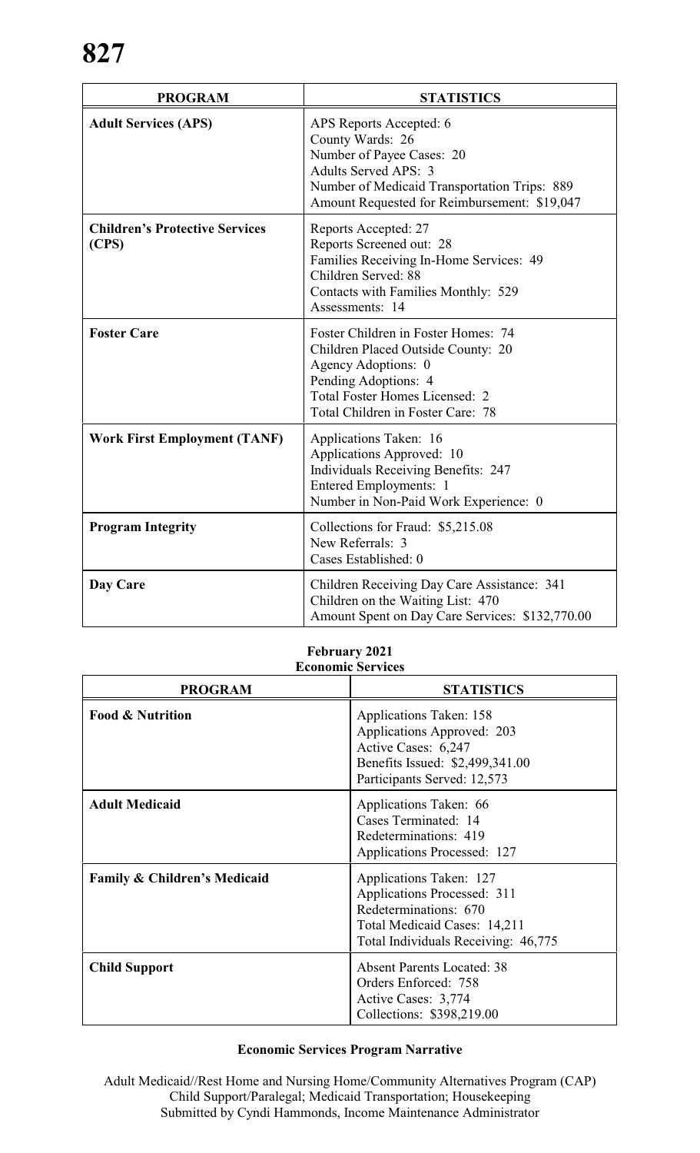| <b>PROGRAM</b>                                 | <b>STATISTICS</b>                                                                                                                                                                                      |
|------------------------------------------------|--------------------------------------------------------------------------------------------------------------------------------------------------------------------------------------------------------|
| <b>Adult Services (APS)</b>                    | APS Reports Accepted: 6<br>County Wards: 26<br>Number of Payee Cases: 20<br>Adults Served APS: 3<br>Number of Medicaid Transportation Trips: 889<br>Amount Requested for Reimbursement: \$19,047       |
| <b>Children's Protective Services</b><br>(CPS) | Reports Accepted: 27<br>Reports Screened out: 28<br>Families Receiving In-Home Services: 49<br>Children Served: 88<br>Contacts with Families Monthly: 529<br>Assessments: 14                           |
| <b>Foster Care</b>                             | Foster Children in Foster Homes: 74<br>Children Placed Outside County: 20<br>Agency Adoptions: 0<br>Pending Adoptions: 4<br><b>Total Foster Homes Licensed: 2</b><br>Total Children in Foster Care: 78 |
| <b>Work First Employment (TANF)</b>            | Applications Taken: 16<br>Applications Approved: 10<br><b>Individuals Receiving Benefits: 247</b><br>Entered Employments: 1<br>Number in Non-Paid Work Experience: 0                                   |
| <b>Program Integrity</b>                       | Collections for Fraud: \$5,215.08<br>New Referrals: 3<br>Cases Established: 0                                                                                                                          |
| Day Care                                       | Children Receiving Day Care Assistance: 341<br>Children on the Waiting List: 470<br>Amount Spent on Day Care Services: \$132,770.00                                                                    |

#### **February 2021 Economic Services**

| <b>PROGRAM</b>                          | <b>STATISTICS</b>                                                                                                                                      |
|-----------------------------------------|--------------------------------------------------------------------------------------------------------------------------------------------------------|
| <b>Food &amp; Nutrition</b>             | Applications Taken: 158<br>Applications Approved: 203<br>Active Cases: 6,247<br>Benefits Issued: \$2,499,341.00<br>Participants Served: 12,573         |
| <b>Adult Medicaid</b>                   | Applications Taken: 66<br>Cases Terminated: 14<br>Redeterminations: 419<br>Applications Processed: 127                                                 |
| <b>Family &amp; Children's Medicaid</b> | Applications Taken: 127<br>Applications Processed: 311<br>Redeterminations: 670<br>Total Medicaid Cases: 14,211<br>Total Individuals Receiving: 46,775 |
| <b>Child Support</b>                    | <b>Absent Parents Located: 38</b><br>Orders Enforced: 758<br>Active Cases: 3,774<br>Collections: \$398,219.00                                          |

### **Economic Services Program Narrative**

Adult Medicaid//Rest Home and Nursing Home/Community Alternatives Program (CAP) Child Support/Paralegal; Medicaid Transportation; Housekeeping Submitted by Cyndi Hammonds, Income Maintenance Administrator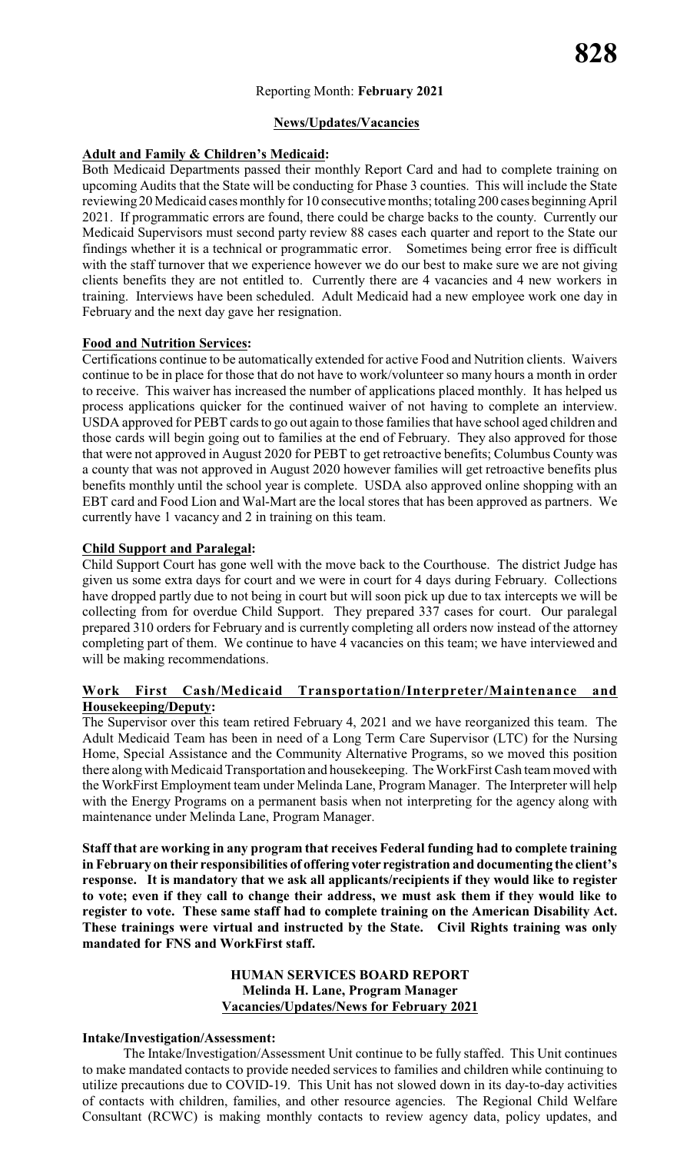#### Reporting Month: **February 2021**

#### **News/Updates/Vacancies**

#### **Adult and Family & Children's Medicaid:**

Both Medicaid Departments passed their monthly Report Card and had to complete training on upcoming Audits that the State will be conducting for Phase 3 counties. This will include the State reviewing 20 Medicaid cases monthly for 10 consecutive months; totaling 200 cases beginningApril 2021. If programmatic errors are found, there could be charge backs to the county. Currently our Medicaid Supervisors must second party review 88 cases each quarter and report to the State our findings whether it is a technical or programmatic error. Sometimes being error free is difficult with the staff turnover that we experience however we do our best to make sure we are not giving clients benefits they are not entitled to. Currently there are 4 vacancies and 4 new workers in training. Interviews have been scheduled. Adult Medicaid had a new employee work one day in February and the next day gave her resignation.

#### **Food and Nutrition Services:**

Certifications continue to be automatically extended for active Food and Nutrition clients. Waivers continue to be in place for those that do not have to work/volunteer so many hours a month in order to receive. This waiver has increased the number of applications placed monthly. It has helped us process applications quicker for the continued waiver of not having to complete an interview. USDA approved for PEBT cards to go out again to those families that have school aged children and those cards will begin going out to families at the end of February. They also approved for those that were not approved in August 2020 for PEBT to get retroactive benefits; Columbus County was a county that was not approved in August 2020 however families will get retroactive benefits plus benefits monthly until the school year is complete. USDA also approved online shopping with an EBT card and Food Lion and Wal-Mart are the local stores that has been approved as partners. We currently have 1 vacancy and 2 in training on this team.

#### **Child Support and Paralegal:**

Child Support Court has gone well with the move back to the Courthouse. The district Judge has given us some extra days for court and we were in court for 4 days during February. Collections have dropped partly due to not being in court but will soon pick up due to tax intercepts we will be collecting from for overdue Child Support. They prepared 337 cases for court. Our paralegal prepared 310 orders for February and is currently completing all orders now instead of the attorney completing part of them. We continue to have 4 vacancies on this team; we have interviewed and will be making recommendations.

#### **Work First Cash/Medicaid Transportation/Interpreter/Maintenance and Housekeeping/Deputy:**

The Supervisor over this team retired February 4, 2021 and we have reorganized this team. The Adult Medicaid Team has been in need of a Long Term Care Supervisor (LTC) for the Nursing Home, Special Assistance and the Community Alternative Programs, so we moved this position there along with Medicaid Transportation and housekeeping. The WorkFirst Cash team moved with the WorkFirst Employment team under Melinda Lane, Program Manager. The Interpreter will help with the Energy Programs on a permanent basis when not interpreting for the agency along with maintenance under Melinda Lane, Program Manager.

**Staff that are working in any program that receives Federal funding had to complete training in February on their responsibilities of offering voter registration and documenting the client's response. It is mandatory that we ask all applicants/recipients if they would like to register to vote; even if they call to change their address, we must ask them if they would like to register to vote. These same staff had to complete training on the American Disability Act. These trainings were virtual and instructed by the State. Civil Rights training was only mandated for FNS and WorkFirst staff.**

#### **HUMAN SERVICES BOARD REPORT Melinda H. Lane, Program Manager Vacancies/Updates/News for February 2021**

#### **Intake/Investigation/Assessment:**

The Intake/Investigation/Assessment Unit continue to be fully staffed. This Unit continues to make mandated contacts to provide needed services to families and children while continuing to utilize precautions due to COVID-19. This Unit has not slowed down in its day-to-day activities of contacts with children, families, and other resource agencies. The Regional Child Welfare Consultant (RCWC) is making monthly contacts to review agency data, policy updates, and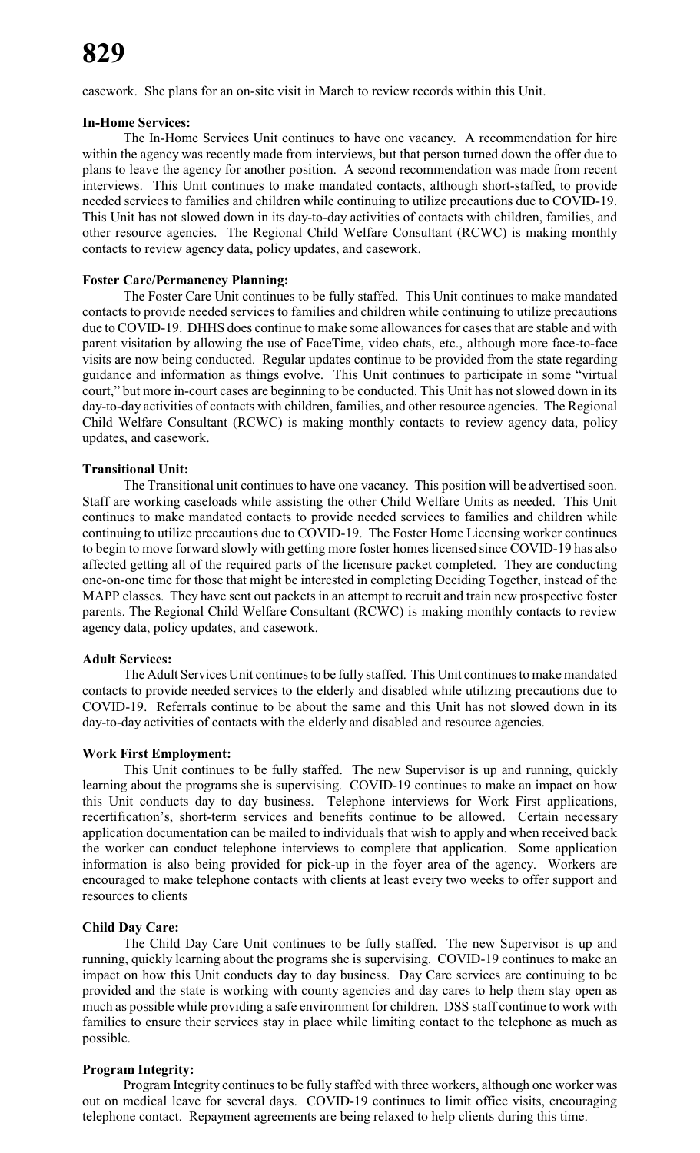casework. She plans for an on-site visit in March to review records within this Unit.

#### **In-Home Services:**

The In-Home Services Unit continues to have one vacancy. A recommendation for hire within the agency was recently made from interviews, but that person turned down the offer due to plans to leave the agency for another position. A second recommendation was made from recent interviews. This Unit continues to make mandated contacts, although short-staffed, to provide needed services to families and children while continuing to utilize precautions due to COVID-19. This Unit has not slowed down in its day-to-day activities of contacts with children, families, and other resource agencies. The Regional Child Welfare Consultant (RCWC) is making monthly contacts to review agency data, policy updates, and casework.

#### **Foster Care/Permanency Planning:**

The Foster Care Unit continues to be fully staffed. This Unit continues to make mandated contacts to provide needed services to families and children while continuing to utilize precautions due to COVID-19. DHHS does continue to make some allowances for cases that are stable and with parent visitation by allowing the use of FaceTime, video chats, etc., although more face-to-face visits are now being conducted. Regular updates continue to be provided from the state regarding guidance and information as things evolve. This Unit continues to participate in some "virtual court," but more in-court cases are beginning to be conducted. This Unit has not slowed down in its day-to-day activities of contacts with children, families, and other resource agencies. The Regional Child Welfare Consultant (RCWC) is making monthly contacts to review agency data, policy updates, and casework.

#### **Transitional Unit:**

The Transitional unit continues to have one vacancy. This position will be advertised soon. Staff are working caseloads while assisting the other Child Welfare Units as needed. This Unit continues to make mandated contacts to provide needed services to families and children while continuing to utilize precautions due to COVID-19. The Foster Home Licensing worker continues to begin to move forward slowly with getting more foster homes licensed since COVID-19 has also affected getting all of the required parts of the licensure packet completed. They are conducting one-on-one time for those that might be interested in completing Deciding Together, instead of the MAPP classes. They have sent out packets in an attempt to recruit and train new prospective foster parents. The Regional Child Welfare Consultant (RCWC) is making monthly contacts to review agency data, policy updates, and casework.

#### **Adult Services:**

The Adult Services Unit continues to be fully staffed. This Unit continues to make mandated contacts to provide needed services to the elderly and disabled while utilizing precautions due to COVID-19. Referrals continue to be about the same and this Unit has not slowed down in its day-to-day activities of contacts with the elderly and disabled and resource agencies.

#### **Work First Employment:**

This Unit continues to be fully staffed. The new Supervisor is up and running, quickly learning about the programs she is supervising. COVID-19 continues to make an impact on how this Unit conducts day to day business. Telephone interviews for Work First applications, recertification's, short-term services and benefits continue to be allowed. Certain necessary application documentation can be mailed to individuals that wish to apply and when received back the worker can conduct telephone interviews to complete that application. Some application information is also being provided for pick-up in the foyer area of the agency. Workers are encouraged to make telephone contacts with clients at least every two weeks to offer support and resources to clients

#### **Child Day Care:**

The Child Day Care Unit continues to be fully staffed. The new Supervisor is up and running, quickly learning about the programs she is supervising. COVID-19 continues to make an impact on how this Unit conducts day to day business. Day Care services are continuing to be provided and the state is working with county agencies and day cares to help them stay open as much as possible while providing a safe environment for children. DSS staff continue to work with families to ensure their services stay in place while limiting contact to the telephone as much as possible.

#### **Program Integrity:**

Program Integrity continues to be fully staffed with three workers, although one worker was out on medical leave for several days. COVID-19 continues to limit office visits, encouraging telephone contact. Repayment agreements are being relaxed to help clients during this time.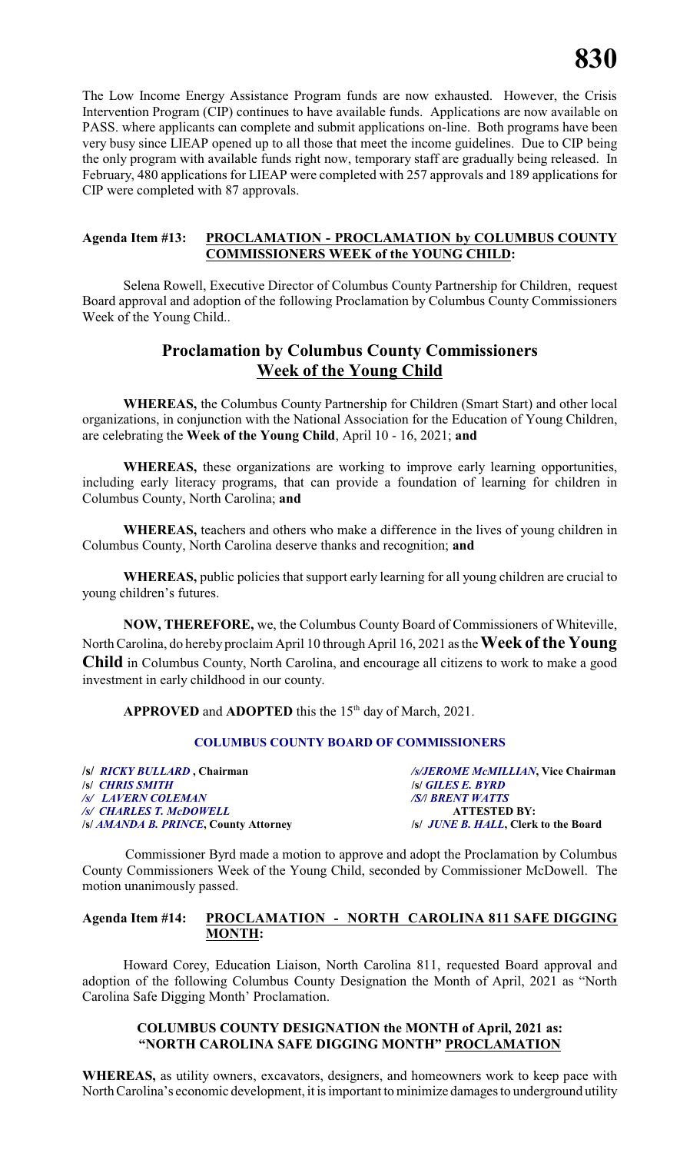The Low Income Energy Assistance Program funds are now exhausted. However, the Crisis Intervention Program (CIP) continues to have available funds. Applications are now available on PASS. where applicants can complete and submit applications on-line. Both programs have been very busy since LIEAP opened up to all those that meet the income guidelines. Due to CIP being the only program with available funds right now, temporary staff are gradually being released. In February, 480 applications for LIEAP were completed with 257 approvals and 189 applications for CIP were completed with 87 approvals.

#### **Agenda Item #13: PROCLAMATION - PROCLAMATION by COLUMBUS COUNTY COMMISSIONERS WEEK of the YOUNG CHILD:**

Selena Rowell, Executive Director of Columbus County Partnership for Children, request Board approval and adoption of the following Proclamation by Columbus County Commissioners Week of the Young Child..

### **Proclamation by Columbus County Commissioners Week of the Young Child**

**WHEREAS,** the Columbus County Partnership for Children (Smart Start) and other local organizations, in conjunction with the National Association for the Education of Young Children, are celebrating the **Week of the Young Child**, April 10 - 16, 2021; **and**

**WHEREAS,** these organizations are working to improve early learning opportunities, including early literacy programs, that can provide a foundation of learning for children in Columbus County, North Carolina; **and**

**WHEREAS,** teachers and others who make a difference in the lives of young children in Columbus County, North Carolina deserve thanks and recognition; **and**

**WHEREAS,** public policies that support early learning for all young children are crucial to young children's futures.

**NOW, THEREFORE,** we, the Columbus County Board of Commissioners of Whiteville, North Carolina, do hereby proclaim April 10 through April 16, 2021 as the **Week of the Young Child** in Columbus County, North Carolina, and encourage all citizens to work to make a good investment in early childhood in our county.

APPROVED and ADOPTED this the 15<sup>th</sup> day of March, 2021.

#### **COLUMBUS COUNTY BOARD OF COMMISSIONERS**

**/s/** *RICKY BULLARD* **, Chairman** */s/JEROME McMILLIAN***, Vice Chairman** */s/ LAVERN COLEMAN /S/***/** *BRENT WATTS /s/ CHARLES T. McDOWELL* **ATTESTED BY: /s/** *AMANDA B. PRINCE***, County Attorney /s/** *JUNE B. HALL***, Clerk to the Board**

**/s/** *CHRIS SMITH* **/s/** *GILES E. BYRD* 

Commissioner Byrd made a motion to approve and adopt the Proclamation by Columbus County Commissioners Week of the Young Child, seconded by Commissioner McDowell. The motion unanimously passed.

#### **Agenda Item #14: PROCLAMATION - NORTH CAROLINA 811 SAFE DIGGING MONTH:**

Howard Corey, Education Liaison, North Carolina 811, requested Board approval and adoption of the following Columbus County Designation the Month of April, 2021 as "North Carolina Safe Digging Month' Proclamation.

#### **COLUMBUS COUNTY DESIGNATION the MONTH of April, 2021 as: "NORTH CAROLINA SAFE DIGGING MONTH" PROCLAMATION**

**WHEREAS,** as utility owners, excavators, designers, and homeowners work to keep pace with North Carolina's economic development, it is important to minimize damages to underground utility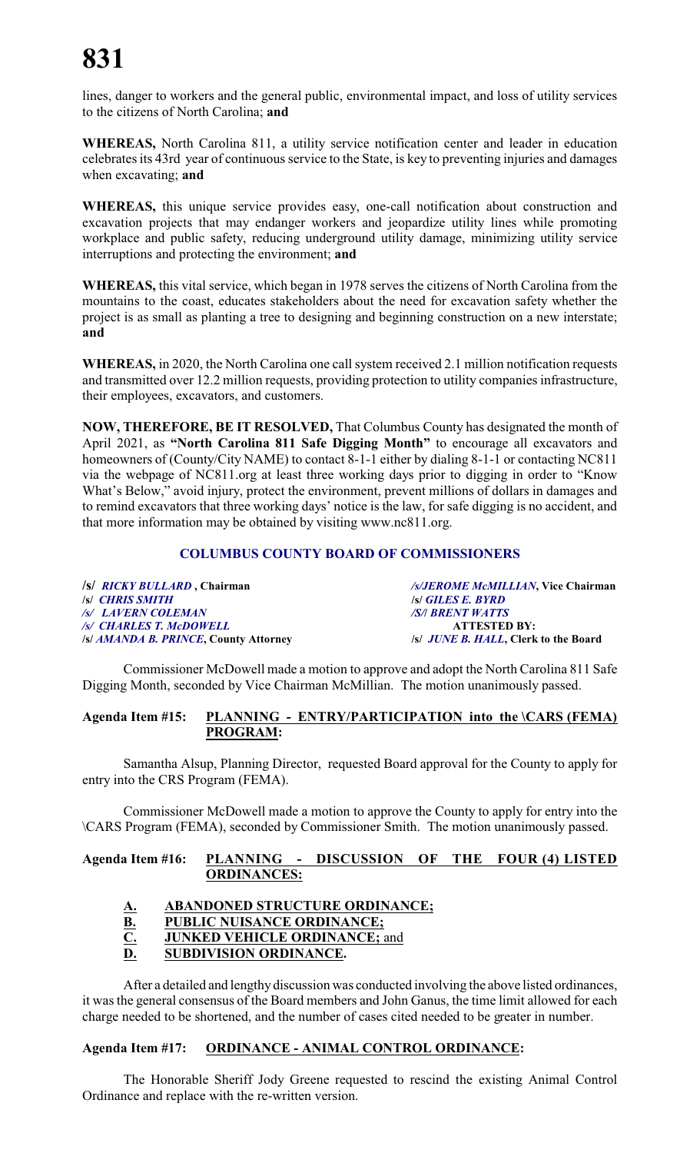lines, danger to workers and the general public, environmental impact, and loss of utility services to the citizens of North Carolina; **and**

**WHEREAS,** North Carolina 811, a utility service notification center and leader in education celebrates its 43rd year of continuous service to the State, is key to preventing injuries and damages when excavating; **and**

**WHEREAS,** this unique service provides easy, one-call notification about construction and excavation projects that may endanger workers and jeopardize utility lines while promoting workplace and public safety, reducing underground utility damage, minimizing utility service interruptions and protecting the environment; **and**

**WHEREAS,** this vital service, which began in 1978 serves the citizens of North Carolina from the mountains to the coast, educates stakeholders about the need for excavation safety whether the project is as small as planting a tree to designing and beginning construction on a new interstate; **and**

**WHEREAS,** in 2020, the North Carolina one call system received 2.1 million notification requests and transmitted over 12.2 million requests, providing protection to utility companies infrastructure, their employees, excavators, and customers.

**NOW, THEREFORE, BE IT RESOLVED,** That Columbus County has designated the month of April 2021, as **"North Carolina 811 Safe Digging Month"** to encourage all excavators and homeowners of (County/City NAME) to contact 8-1-1 either by dialing 8-1-1 or contacting NC811 via the webpage of NC811.org at least three working days prior to digging in order to "Know What's Below," avoid injury, protect the environment, prevent millions of dollars in damages and to remind excavators that three working days' notice is the law, for safe digging is no accident, and that more information may be obtained by visiting www.nc811.org.

#### **COLUMBUS COUNTY BOARD OF COMMISSIONERS**

| /s/ <i>RICKY BULLARD</i> , Chairman   | /s/JEROME McMILLIAN, Vice Chairman           |
|---------------------------------------|----------------------------------------------|
| <b><i>SI</i></b> CHRIS SMITH          | <b>S GILES E. BYRD</b>                       |
| /s/ LAVERN COLEMAN                    | <b>SA BRENT WATTS</b>                        |
| /s/ CHARLES T. McDOWELL               | <b>ATTESTED BY:</b>                          |
| /s/ AMANDA B. PRINCE, County Attorney | /s/ <i>JUNE B. HALL</i> , Clerk to the Board |

Commissioner McDowell made a motion to approve and adopt the North Carolina 811 Safe Digging Month, seconded by Vice Chairman McMillian. The motion unanimously passed.

#### **Agenda Item #15: PLANNING - ENTRY/PARTICIPATION into the \CARS (FEMA) PROGRAM:**

Samantha Alsup, Planning Director, requested Board approval for the County to apply for entry into the CRS Program (FEMA).

Commissioner McDowell made a motion to approve the County to apply for entry into the \CARS Program (FEMA), seconded by Commissioner Smith. The motion unanimously passed.

#### **Agenda Item #16: PLANNING - DISCUSSION OF THE FOUR (4) LISTED ORDINANCES:**

### **A. ABANDONED STRUCTURE ORDINANCE;**

- 
- **B.** PUBLIC NUISANCE ORDINANCE;<br>C. JUNKED VEHICLE ORDINANCE; a **C. JUNKED VEHICLE ORDINANCE;** and

### **D. SUBDIVISION ORDINANCE.**

After a detailed and lengthy discussion was conducted involving the above listed ordinances, it was the general consensus of the Board members and John Ganus, the time limit allowed for each charge needed to be shortened, and the number of cases cited needed to be greater in number.

#### **Agenda Item #17: ORDINANCE - ANIMAL CONTROL ORDINANCE:**

The Honorable Sheriff Jody Greene requested to rescind the existing Animal Control Ordinance and replace with the re-written version.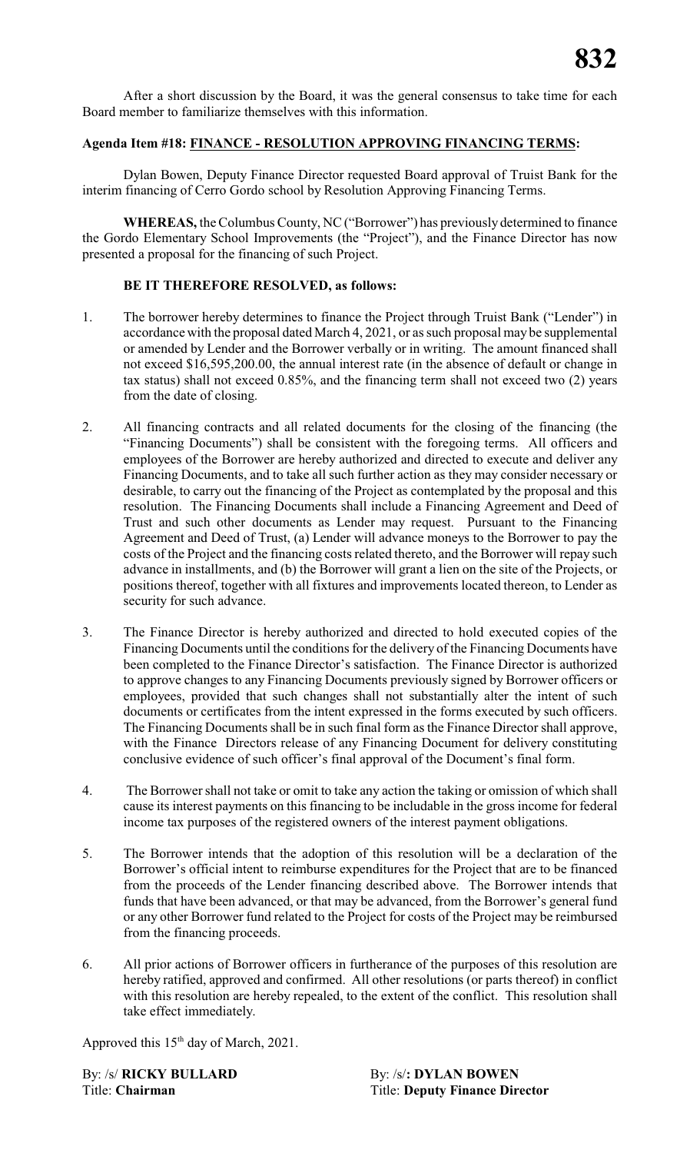After a short discussion by the Board, it was the general consensus to take time for each Board member to familiarize themselves with this information.

### **Agenda Item #18: FINANCE - RESOLUTION APPROVING FINANCING TERMS:**

Dylan Bowen, Deputy Finance Director requested Board approval of Truist Bank for the interim financing of Cerro Gordo school by Resolution Approving Financing Terms.

**WHEREAS,** the Columbus County, NC ("Borrower") has previously determined to finance the Gordo Elementary School Improvements (the "Project"), and the Finance Director has now presented a proposal for the financing of such Project.

#### **BE IT THEREFORE RESOLVED, as follows:**

- 1. The borrower hereby determines to finance the Project through Truist Bank ("Lender") in accordance with the proposal dated March 4, 2021, or as such proposal may be supplemental or amended by Lender and the Borrower verbally or in writing. The amount financed shall not exceed \$16,595,200.00, the annual interest rate (in the absence of default or change in tax status) shall not exceed 0.85%, and the financing term shall not exceed two (2) years from the date of closing.
- 2. All financing contracts and all related documents for the closing of the financing (the "Financing Documents") shall be consistent with the foregoing terms. All officers and employees of the Borrower are hereby authorized and directed to execute and deliver any Financing Documents, and to take all such further action as they may consider necessary or desirable, to carry out the financing of the Project as contemplated by the proposal and this resolution. The Financing Documents shall include a Financing Agreement and Deed of Trust and such other documents as Lender may request. Pursuant to the Financing Agreement and Deed of Trust, (a) Lender will advance moneys to the Borrower to pay the costs of the Project and the financing costs related thereto, and the Borrower will repay such advance in installments, and (b) the Borrower will grant a lien on the site of the Projects, or positions thereof, together with all fixtures and improvements located thereon, to Lender as security for such advance.
- 3. The Finance Director is hereby authorized and directed to hold executed copies of the Financing Documents until the conditions for the delivery of the Financing Documents have been completed to the Finance Director's satisfaction. The Finance Director is authorized to approve changes to any Financing Documents previously signed by Borrower officers or employees, provided that such changes shall not substantially alter the intent of such documents or certificates from the intent expressed in the forms executed by such officers. The Financing Documents shall be in such final form as the Finance Director shall approve, with the Finance Directors release of any Financing Document for delivery constituting conclusive evidence of such officer's final approval of the Document's final form.
- 4. The Borrower shall not take or omit to take any action the taking or omission of which shall cause its interest payments on this financing to be includable in the gross income for federal income tax purposes of the registered owners of the interest payment obligations.
- 5. The Borrower intends that the adoption of this resolution will be a declaration of the Borrower's official intent to reimburse expenditures for the Project that are to be financed from the proceeds of the Lender financing described above. The Borrower intends that funds that have been advanced, or that may be advanced, from the Borrower's general fund or any other Borrower fund related to the Project for costs of the Project may be reimbursed from the financing proceeds.
- 6. All prior actions of Borrower officers in furtherance of the purposes of this resolution are hereby ratified, approved and confirmed. All other resolutions (or parts thereof) in conflict with this resolution are hereby repealed, to the extent of the conflict. This resolution shall take effect immediately.

Approved this  $15<sup>th</sup>$  day of March, 2021.

By: /s/ **RICKY BULLARD** By: /s/**: DYLAN BOWEN** 

Title: **Chairman** Title: **Deputy Finance Director**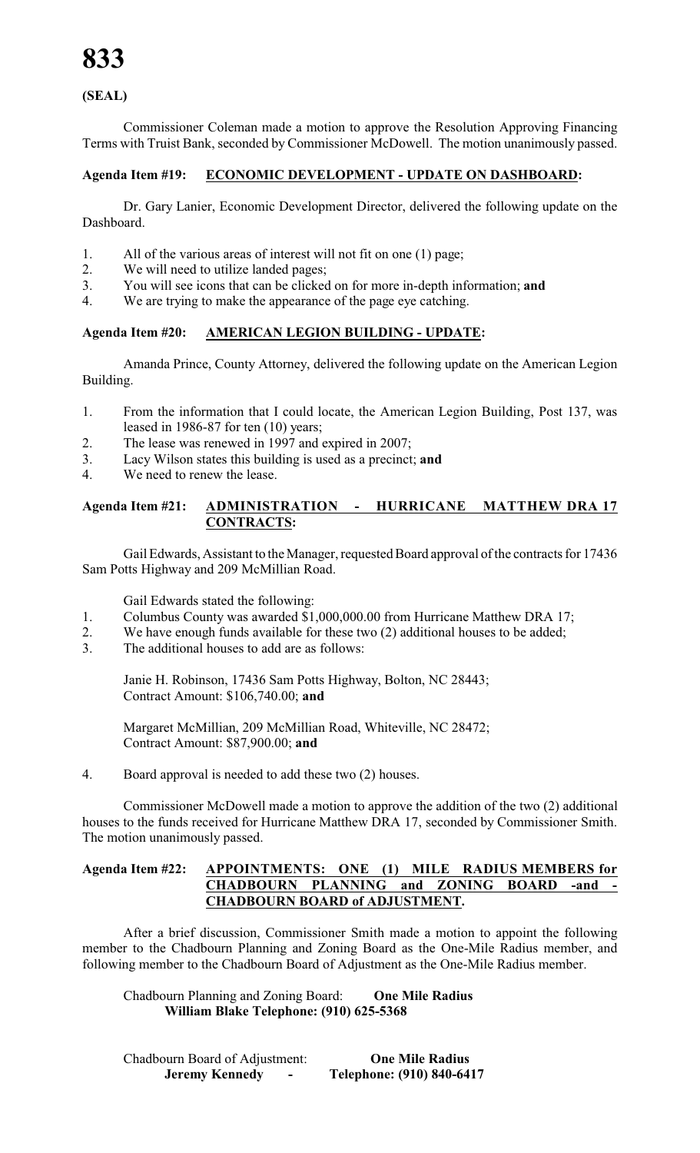### **(SEAL)**

Commissioner Coleman made a motion to approve the Resolution Approving Financing Terms with Truist Bank, seconded by Commissioner McDowell. The motion unanimously passed.

#### **Agenda Item #19: ECONOMIC DEVELOPMENT - UPDATE ON DASHBOARD:**

Dr. Gary Lanier, Economic Development Director, delivered the following update on the Dashboard.

- 1. All of the various areas of interest will not fit on one (1) page;
- 2. We will need to utilize landed pages;
- 3. You will see icons that can be clicked on for more in-depth information; **and**
- 4. We are trying to make the appearance of the page eye catching.

#### **Agenda Item #20: AMERICAN LEGION BUILDING - UPDATE:**

Amanda Prince, County Attorney, delivered the following update on the American Legion Building.

- 1. From the information that I could locate, the American Legion Building, Post 137, was leased in 1986-87 for ten (10) years;
- 2. The lease was renewed in 1997 and expired in 2007;
- 3. Lacy Wilson states this building is used as a precinct; **and**
- 4. We need to renew the lease.

#### **Agenda Item #21: ADMINISTRATION - HURRICANE MATTHEW DRA 17 CONTRACTS:**

Gail Edwards, Assistant to the Manager, requested Board approval of the contracts for 17436 Sam Potts Highway and 209 McMillian Road.

Gail Edwards stated the following:

- 1. Columbus County was awarded \$1,000,000.00 from Hurricane Matthew DRA 17;
- 2. We have enough funds available for these two (2) additional houses to be added;
- 3. The additional houses to add are as follows:

Janie H. Robinson, 17436 Sam Potts Highway, Bolton, NC 28443; Contract Amount: \$106,740.00; **and**

Margaret McMillian, 209 McMillian Road, Whiteville, NC 28472; Contract Amount: \$87,900.00; **and**

4. Board approval is needed to add these two (2) houses.

Commissioner McDowell made a motion to approve the addition of the two (2) additional houses to the funds received for Hurricane Matthew DRA 17, seconded by Commissioner Smith. The motion unanimously passed.

#### **Agenda Item #22: APPOINTMENTS: ONE (1) MILE RADIUS MEMBERS for CHADBOURN PLANNING and ZONING BOARD -and - CHADBOURN BOARD of ADJUSTMENT.**

After a brief discussion, Commissioner Smith made a motion to appoint the following member to the Chadbourn Planning and Zoning Board as the One-Mile Radius member, and following member to the Chadbourn Board of Adjustment as the One-Mile Radius member.

Chadbourn Planning and Zoning Board: **One Mile Radius William Blake Telephone: (910) 625-5368**

Chadbourn Board of Adjustment: **One Mile Radius Jeremy Kennedy - Telephone: (910) 840-6417**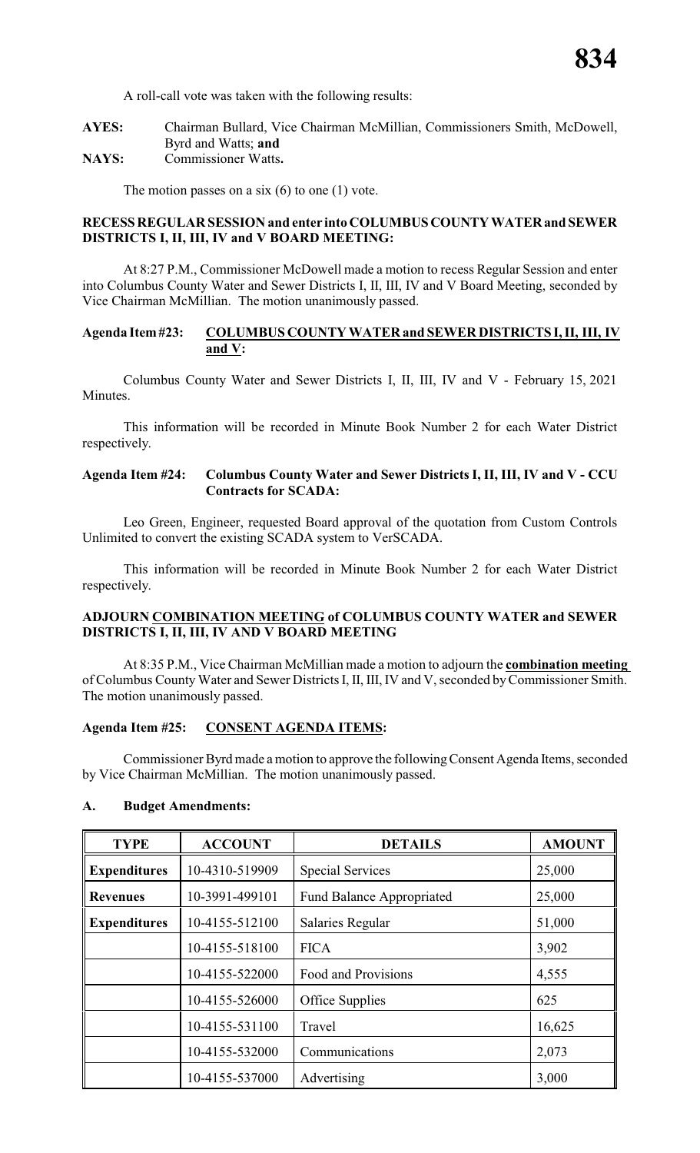A roll-call vote was taken with the following results:

**AYES:** Chairman Bullard, Vice Chairman McMillian, Commissioners Smith, McDowell, Byrd and Watts; **and NAYS:** Commissioner Watts**.**

The motion passes on a six  $(6)$  to one  $(1)$  vote.

#### **RECESSREGULAR SESSION and enter into COLUMBUSCOUNTYWATERand SEWER DISTRICTS I, II, III, IV and V BOARD MEETING:**

At 8:27 P.M., Commissioner McDowell made a motion to recess Regular Session and enter into Columbus County Water and Sewer Districts I, II, III, IV and V Board Meeting, seconded by Vice Chairman McMillian. The motion unanimously passed.

#### **Agenda Item#23: COLUMBUS COUNTY WATER and SEWER DISTRICTS I, II, III, IV and V:**

Columbus County Water and Sewer Districts I, II, III, IV and V - February 15, 2021 Minutes.

This information will be recorded in Minute Book Number 2 for each Water District respectively.

#### **Agenda Item #24: Columbus County Water and Sewer Districts I, II, III, IV and V - CCU Contracts for SCADA:**

Leo Green, Engineer, requested Board approval of the quotation from Custom Controls Unlimited to convert the existing SCADA system to VerSCADA.

This information will be recorded in Minute Book Number 2 for each Water District respectively.

#### **ADJOURN COMBINATION MEETING of COLUMBUS COUNTY WATER and SEWER DISTRICTS I, II, III, IV AND V BOARD MEETING**

At 8:35 P.M., Vice Chairman McMillian made a motion to adjourn the **combination meeting**  of Columbus County Water and Sewer Districts I, II, III, IV and V, seconded byCommissioner Smith. The motion unanimously passed.

#### **Agenda Item #25: CONSENT AGENDA ITEMS:**

Commissioner Byrd made amotion to approve the followingConsent Agenda Items, seconded by Vice Chairman McMillian. The motion unanimously passed.

#### **A. Budget Amendments:**

| <b>TYPE</b>         | <b>ACCOUNT</b> | <b>DETAILS</b>                   | <b>AMOUNT</b> |
|---------------------|----------------|----------------------------------|---------------|
| <b>Expenditures</b> | 10-4310-519909 | <b>Special Services</b>          | 25,000        |
| <b>Revenues</b>     | 10-3991-499101 | <b>Fund Balance Appropriated</b> | 25,000        |
| <b>Expenditures</b> | 10-4155-512100 | Salaries Regular                 | 51,000        |
|                     | 10-4155-518100 | <b>FICA</b>                      | 3,902         |
|                     | 10-4155-522000 | Food and Provisions              | 4,555         |
|                     | 10-4155-526000 | Office Supplies                  | 625           |
|                     | 10-4155-531100 | Travel                           | 16,625        |
|                     | 10-4155-532000 | Communications                   | 2,073         |
|                     | 10-4155-537000 | Advertising                      | 3,000         |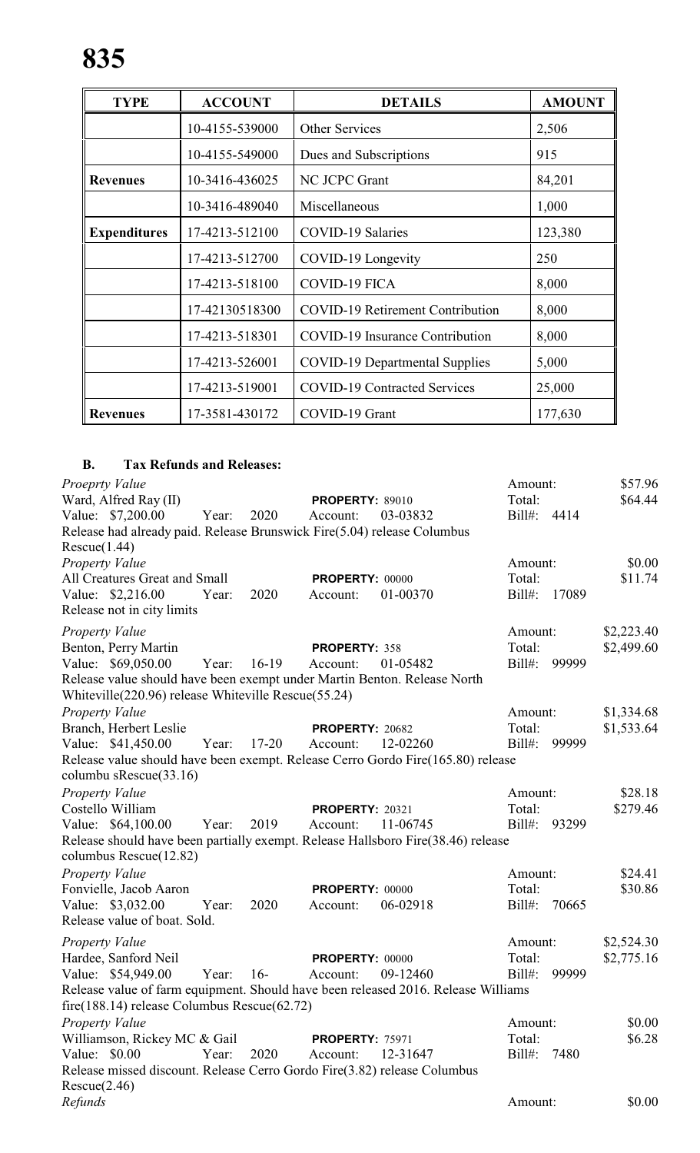| <b>TYPE</b>         | <b>ACCOUNT</b> | <b>DETAILS</b>                          | <b>AMOUNT</b> |
|---------------------|----------------|-----------------------------------------|---------------|
|                     | 10-4155-539000 | <b>Other Services</b>                   | 2,506         |
|                     | 10-4155-549000 | Dues and Subscriptions                  | 915           |
| <b>Revenues</b>     | 10-3416-436025 | NC JCPC Grant                           | 84,201        |
|                     | 10-3416-489040 | Miscellaneous                           | 1,000         |
| <b>Expenditures</b> | 17-4213-512100 | <b>COVID-19 Salaries</b>                | 123,380       |
|                     | 17-4213-512700 | COVID-19 Longevity                      | 250           |
|                     | 17-4213-518100 | <b>COVID-19 FICA</b>                    | 8,000         |
|                     | 17-42130518300 | <b>COVID-19 Retirement Contribution</b> | 8,000         |
|                     | 17-4213-518301 | COVID-19 Insurance Contribution         | 8,000         |
|                     | 17-4213-526001 | <b>COVID-19 Departmental Supplies</b>   | 5,000         |
|                     | 17-4213-519001 | <b>COVID-19 Contracted Services</b>     | 25,000        |
| <b>Revenues</b>     | 17-3581-430172 | COVID-19 Grant                          | 177,630       |

## **B. Tax Refunds and Releases:**

| Proeprty Value                                                                    |              |           |                        |          | Amount:     |       | \$57.96    |
|-----------------------------------------------------------------------------------|--------------|-----------|------------------------|----------|-------------|-------|------------|
| Ward, Alfred Ray (II)                                                             |              |           | <b>PROPERTY: 89010</b> |          | Total:      |       | \$64.44    |
| Value: \$7,200.00                                                                 | Year:        | 2020      | Account:               | 03-03832 | Bill#: 4414 |       |            |
| Release had already paid. Release Brunswick Fire(5.04) release Columbus           |              |           |                        |          |             |       |            |
| Rescue(1.44)                                                                      |              |           |                        |          |             |       |            |
| <b>Property Value</b>                                                             |              |           |                        |          | Amount:     |       | \$0.00     |
| All Creatures Great and Small                                                     |              |           | <b>PROPERTY: 00000</b> |          | Total:      |       | \$11.74    |
| Value: \$2,216.00                                                                 | Year:        | 2020      | Account:               | 01-00370 | Bill#:      | 17089 |            |
| Release not in city limits                                                        |              |           |                        |          |             |       |            |
| <b>Property Value</b>                                                             |              |           |                        |          | Amount:     |       | \$2,223.40 |
| Benton, Perry Martin                                                              |              |           | PROPERTY: 358          |          | Total:      |       | \$2,499.60 |
| Value: \$69,050.00                                                                | Year: 16-19  |           | Account:               | 01-05482 | Bill#:      | 99999 |            |
| Release value should have been exempt under Martin Benton. Release North          |              |           |                        |          |             |       |            |
| Whiteville(220.96) release Whiteville Rescue(55.24)                               |              |           |                        |          |             |       |            |
| Property Value                                                                    |              |           |                        |          | Amount:     |       | \$1,334.68 |
| Branch, Herbert Leslie                                                            |              |           | <b>PROPERTY: 20682</b> |          | Total:      |       | \$1,533.64 |
| Value: \$41,450.00                                                                | Year:        | $17 - 20$ | Account:               | 12-02260 | $Bill#$ :   | 99999 |            |
| Release value should have been exempt. Release Cerro Gordo Fire(165.80) release   |              |           |                        |          |             |       |            |
| columbu sRescue(33.16)                                                            |              |           |                        |          |             |       |            |
| <b>Property Value</b>                                                             |              |           |                        |          | Amount:     |       | \$28.18    |
| Costello William                                                                  |              |           | <b>PROPERTY: 20321</b> |          | Total:      |       | \$279.46   |
| Value: \$64,100.00                                                                | Year:        | 2019      | Account:               | 11-06745 | Bill#:      | 93299 |            |
| Release should have been partially exempt. Release Hallsboro Fire(38.46) release  |              |           |                        |          |             |       |            |
| columbus Rescue(12.82)                                                            |              |           |                        |          |             |       |            |
| Property Value                                                                    |              |           |                        |          | Amount:     |       | \$24.41    |
| Fonvielle, Jacob Aaron                                                            |              |           | <b>PROPERTY: 00000</b> |          | Total:      |       | \$30.86    |
| Value: \$3,032.00                                                                 | Year:        | 2020      | Account:               | 06-02918 | Bill#:      | 70665 |            |
| Release value of boat. Sold.                                                      |              |           |                        |          |             |       |            |
|                                                                                   |              |           |                        |          |             |       |            |
| Property Value                                                                    |              |           |                        |          | Amount:     |       | \$2,524.30 |
| Hardee, Sanford Neil                                                              |              |           | PROPERTY: 00000        |          | Total:      |       | \$2,775.16 |
| Value: \$54,949.00                                                                | Year: $16$ - |           | Account:               | 09-12460 | Bill#:      | 99999 |            |
| Release value of farm equipment. Should have been released 2016. Release Williams |              |           |                        |          |             |       |            |
| $fire(188.14) release Columbus Rescue(62.72)$                                     |              |           |                        |          |             |       |            |
| <b>Property Value</b>                                                             |              |           |                        |          | Amount:     |       | \$0.00     |
| Williamson, Rickey MC & Gail                                                      |              |           | <b>PROPERTY: 75971</b> |          | Total:      |       | \$6.28     |
| Value: \$0.00                                                                     | Year:        | 2020      | Account:               | 12-31647 | Bill#:      | 7480  |            |
| Release missed discount. Release Cerro Gordo Fire(3.82) release Columbus          |              |           |                        |          |             |       |            |
| Rescue(2.46)                                                                      |              |           |                        |          |             |       |            |
| Refunds                                                                           |              |           |                        |          | Amount:     |       | \$0.00     |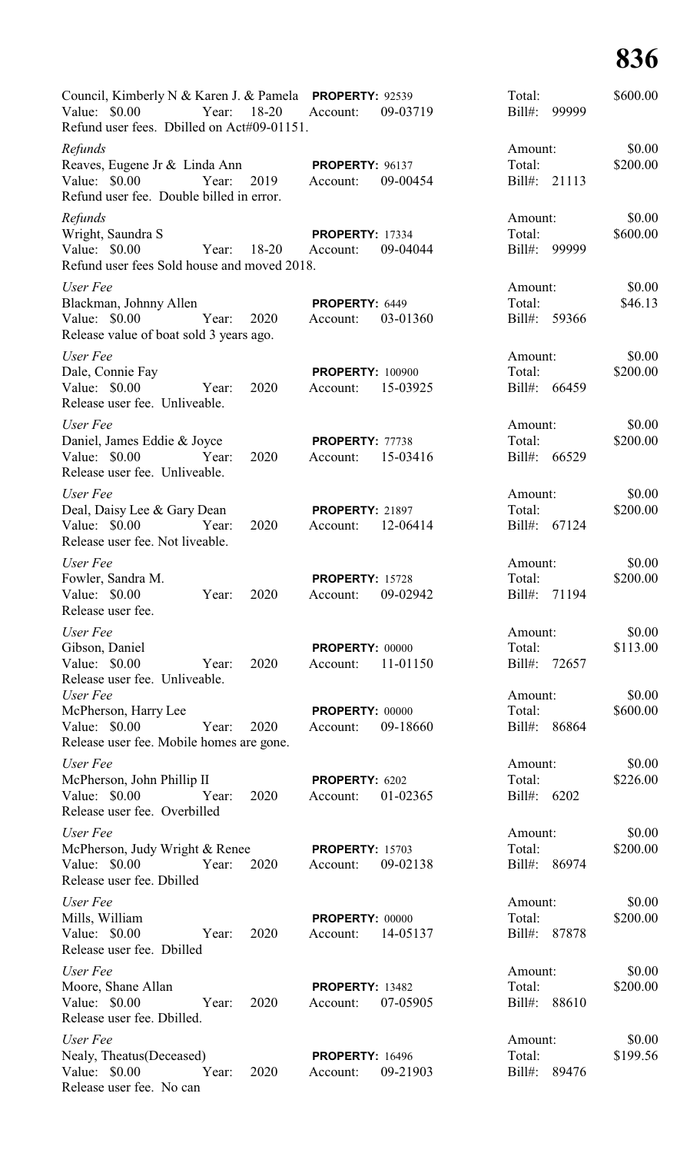| Council, Kimberly N & Karen J. & Pamela <b>PROPERTY</b> : 92539<br>Value: $$0.00$<br>Year:<br>Refund user fees. Dbilled on Act#09-01151. | $18 - 20$ | Account:                            | 09-03719 | Total:<br>Bill#:                  | 99999 | \$600.00           |
|------------------------------------------------------------------------------------------------------------------------------------------|-----------|-------------------------------------|----------|-----------------------------------|-------|--------------------|
| Refunds<br>Reaves, Eugene Jr & Linda Ann<br>Value: \$0.00<br>Year:<br>Refund user fee. Double billed in error.                           | 2019      | PROPERTY: 96137<br>Account:         | 09-00454 | Amount:<br>Total:<br>Bill#:       | 21113 | \$0.00<br>\$200.00 |
| Refunds<br>Wright, Saundra S<br>Value: $$0.00$<br>Year:<br>Refund user fees Sold house and moved 2018.                                   | $18 - 20$ | <b>PROPERTY: 17334</b><br>Account:  | 09-04044 | Amount:<br>Total:<br>Bill#:       | 99999 | \$0.00<br>\$600.00 |
| User Fee<br>Blackman, Johnny Allen<br>Value: \$0.00<br>Year:<br>Release value of boat sold 3 years ago.                                  | 2020      | PROPERTY: 6449<br>Account:          | 03-01360 | Amount:<br>Total:<br>Bill#:       | 59366 | \$0.00<br>\$46.13  |
| User Fee<br>Dale, Connie Fay<br>Value: \$0.00<br>Year:<br>Release user fee. Unliveable.                                                  | 2020      | <b>PROPERTY: 100900</b><br>Account: | 15-03925 | Amount:<br>Total:<br>$Bill#$ :    | 66459 | \$0.00<br>\$200.00 |
| User Fee<br>Daniel, James Eddie & Joyce<br>Value: $$0.00$<br>Year:<br>Release user fee. Unliveable.                                      | 2020      | PROPERTY: 77738<br>Account:         | 15-03416 | Amount:<br>Total:<br>Bill#:       | 66529 | \$0.00<br>\$200.00 |
| User Fee<br>Deal, Daisy Lee & Gary Dean<br>Value: \$0.00<br>Year:<br>Release user fee. Not liveable.                                     | 2020      | <b>PROPERTY: 21897</b><br>Account:  | 12-06414 | Amount:<br>Total:<br>Bill#:       | 67124 | \$0.00<br>\$200.00 |
| User Fee<br>Fowler, Sandra M.<br>Value: $$0.00$<br>Year:<br>Release user fee.                                                            | 2020      | <b>PROPERTY: 15728</b><br>Account:  | 09-02942 | Amount:<br>Total:<br>Bill#:       | 71194 | \$0.00<br>\$200.00 |
| User Fee<br>Gibson, Daniel<br>Value: \$0.00<br>Year:<br>Release user fee. Unliveable.                                                    | 2020      | <b>PROPERTY: 00000</b><br>Account:  | 11-01150 | Amount:<br>Total:<br>Bill#: 72657 |       | \$0.00<br>\$113.00 |
| User Fee<br>McPherson, Harry Lee<br>Value: $$0.00$<br>Year:<br>Release user fee. Mobile homes are gone.                                  | 2020      | <b>PROPERTY: 00000</b><br>Account:  | 09-18660 | Amount:<br>Total:<br>Bill#: 86864 |       | \$0.00<br>\$600.00 |
| User Fee<br>McPherson, John Phillip II<br>Value: \$0.00 Year:<br>Release user fee. Overbilled                                            | 2020      | PROPERTY: 6202<br>Account:          | 01-02365 | Amount:<br>Total:<br>Bill#: 6202  |       | \$0.00<br>\$226.00 |
| User Fee<br>McPherson, Judy Wright & Renee<br>Value: \$0.00 Year:<br>Release user fee. Dbilled                                           | 2020      | <b>PROPERTY: 15703</b><br>Account:  | 09-02138 | Amount:<br>Total:<br>Bill#: 86974 |       | \$0.00<br>\$200.00 |
| User Fee<br>Mills, William<br>Value: \$0.00<br>Year:<br>Release user fee. Dbilled                                                        | 2020      | <b>PROPERTY: 00000</b><br>Account:  | 14-05137 | Amount:<br>Total:<br>Bill#: 87878 |       | \$0.00<br>\$200.00 |
| User Fee<br>Moore, Shane Allan<br>Value: $$0.00$<br>Year:<br>Release user fee. Dbilled.                                                  | 2020      | <b>PROPERTY: 13482</b><br>Account:  | 07-05905 | Amount:<br>Total:<br>Bill#: 88610 |       | \$0.00<br>\$200.00 |
| User Fee<br>Nealy, Theatus(Deceased)<br>Value: \$0.00<br>Year:<br>Release user fee. No can                                               | 2020      | <b>PROPERTY: 16496</b><br>Account:  | 09-21903 | Amount:<br>Total:<br>Bill#: 89476 |       | \$0.00<br>\$199.56 |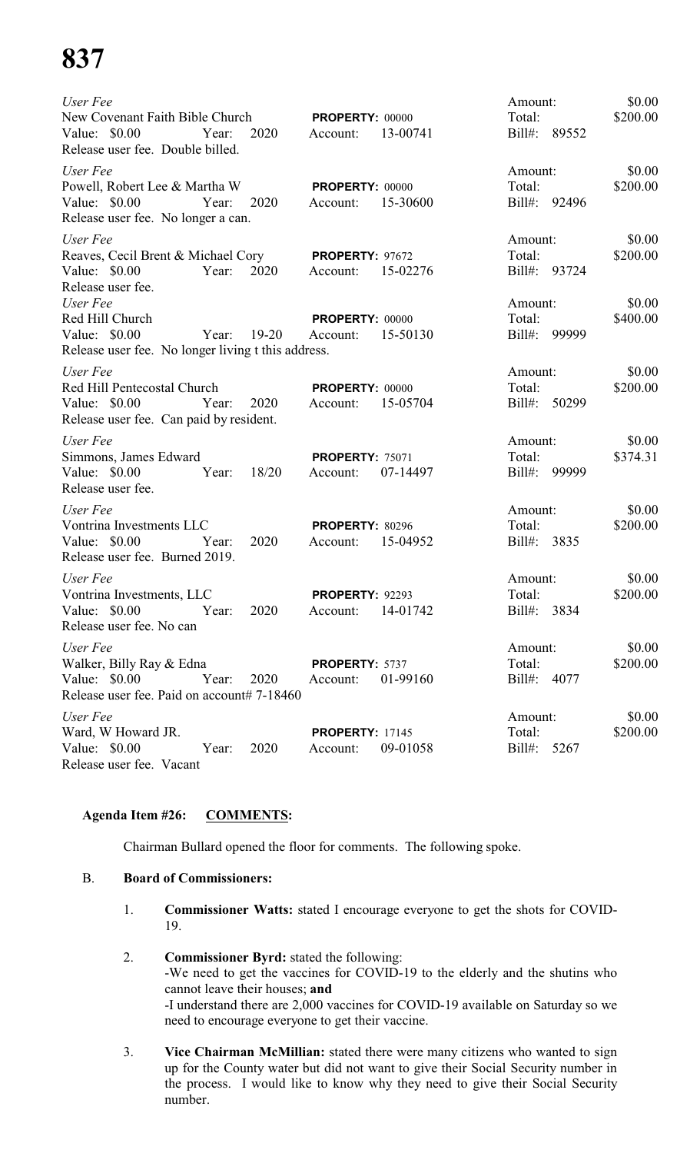| User Fee<br>New Covenant Faith Bible Church<br>Value: \$0.00<br>2020<br>Year:                                         | <b>PROPERTY: 00000</b><br>13-00741<br>Account: | Amount:<br>Total:<br>Bill#: 89552       | \$0.00<br>\$200.00 |
|-----------------------------------------------------------------------------------------------------------------------|------------------------------------------------|-----------------------------------------|--------------------|
| Release user fee. Double billed.                                                                                      |                                                |                                         |                    |
| User Fee<br>Powell, Robert Lee & Martha W<br>Value: $$0.00$<br>Year:<br>2020<br>Release user fee. No longer a can.    | <b>PROPERTY: 00000</b><br>15-30600<br>Account: | Amount:<br>Total:<br>Bill#: 92496       | \$0.00<br>\$200.00 |
| User Fee                                                                                                              |                                                | Amount:                                 | \$0.00             |
| Reaves, Cecil Brent & Michael Cory<br>Value: \$0.00<br>2020<br>Year:<br>Release user fee.                             | <b>PROPERTY: 97672</b><br>15-02276<br>Account: | Total:<br>Bill#: 93724                  | \$200.00           |
| User Fee<br>Red Hill Church<br>Value: $$0.00$<br>Year:<br>19-20<br>Release user fee. No longer living t this address. | <b>PROPERTY: 00000</b><br>15-50130<br>Account: | Amount:<br>Total:<br>Bill#: 99999       | \$0.00<br>\$400.00 |
| User Fee<br>Red Hill Pentecostal Church<br>Value: \$0.00<br>2020<br>Year:<br>Release user fee. Can paid by resident.  | <b>PROPERTY: 00000</b><br>15-05704<br>Account: | Amount:<br>Total:<br>Bill#: 50299       | \$0.00<br>\$200.00 |
| User Fee<br>Simmons, James Edward<br>Value: \$0.00<br>18/20<br>Year:<br>Release user fee.                             | <b>PROPERTY: 75071</b><br>07-14497<br>Account: | Amount:<br>Total:<br>$Bill#$ :<br>99999 | \$0.00<br>\$374.31 |
| User Fee<br>Vontrina Investments LLC<br>Value: \$0.00<br>2020<br>Year:<br>Release user fee. Burned 2019.              | PROPERTY: 80296<br>15-04952<br>Account:        | Amount:<br>Total:<br>Bill#: 3835        | \$0.00<br>\$200.00 |
| User Fee<br>Vontrina Investments, LLC<br>Value: \$0.00 Year: 2020<br>Release user fee. No can                         | <b>PROPERTY: 92293</b><br>Account: 14-01742    | Amount:<br>Total:<br>Bill#: 3834        | \$0.00<br>\$200.00 |
| User Fee<br>Walker, Billy Ray & Edna<br>Value: \$0.00<br>Year:<br>2020<br>Release user fee. Paid on account# 7-18460  | PROPERTY: 5737<br>01-99160<br>Account:         | Amount:<br>Total:<br>Bill#: 4077        | \$0.00<br>\$200.00 |
| User Fee<br>Ward, W Howard JR.<br>Value: \$0.00<br>2020<br>Year:<br>Release user fee. Vacant                          | <b>PROPERTY: 17145</b><br>09-01058<br>Account: | Amount:<br>Total:<br>$Bill#$ :<br>5267  | \$0.00<br>\$200.00 |

#### **Agenda Item #26: COMMENTS:**

Chairman Bullard opened the floor for comments. The following spoke.

#### B. **Board of Commissioners:**

- 1. **Commissioner Watts:** stated I encourage everyone to get the shots for COVID-19.
- 2. **Commissioner Byrd:** stated the following: -We need to get the vaccines for COVID-19 to the elderly and the shutins who cannot leave their houses; **and** -I understand there are 2,000 vaccines for COVID-19 available on Saturday so we need to encourage everyone to get their vaccine.
- 3. **Vice Chairman McMillian:** stated there were many citizens who wanted to sign up for the County water but did not want to give their Social Security number in the process. I would like to know why they need to give their Social Security number.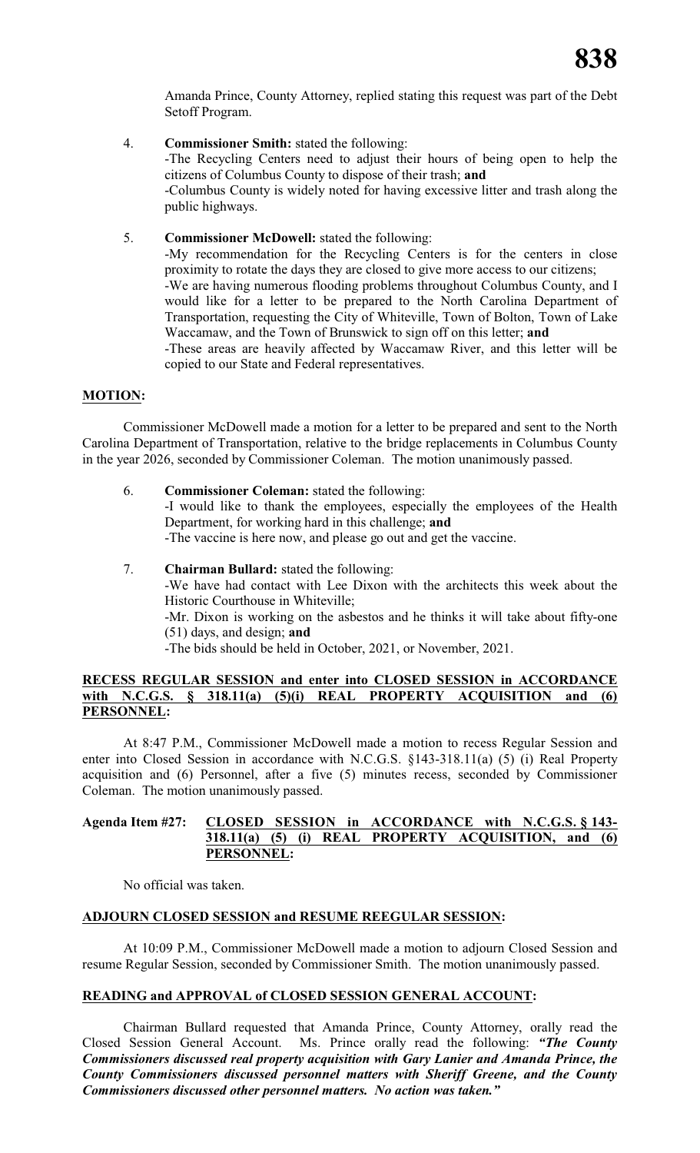Amanda Prince, County Attorney, replied stating this request was part of the Debt Setoff Program.

- 4. **Commissioner Smith:** stated the following: -The Recycling Centers need to adjust their hours of being open to help the citizens of Columbus County to dispose of their trash; **and** -Columbus County is widely noted for having excessive litter and trash along the public highways.
- 5. **Commissioner McDowell:** stated the following:

-My recommendation for the Recycling Centers is for the centers in close proximity to rotate the days they are closed to give more access to our citizens; -We are having numerous flooding problems throughout Columbus County, and I would like for a letter to be prepared to the North Carolina Department of Transportation, requesting the City of Whiteville, Town of Bolton, Town of Lake Waccamaw, and the Town of Brunswick to sign off on this letter; **and**

-These areas are heavily affected by Waccamaw River, and this letter will be copied to our State and Federal representatives.

#### **MOTION:**

Commissioner McDowell made a motion for a letter to be prepared and sent to the North Carolina Department of Transportation, relative to the bridge replacements in Columbus County in the year 2026, seconded by Commissioner Coleman. The motion unanimously passed.

6. **Commissioner Coleman:** stated the following:

-I would like to thank the employees, especially the employees of the Health Department, for working hard in this challenge; **and**

-The vaccine is here now, and please go out and get the vaccine.

7. **Chairman Bullard:** stated the following: -We have had contact with Lee Dixon with the architects this week about the Historic Courthouse in Whiteville; -Mr. Dixon is working on the asbestos and he thinks it will take about fifty-one (51) days, and design; **and** -The bids should be held in October, 2021, or November, 2021.

#### **RECESS REGULAR SESSION and enter into CLOSED SESSION in ACCORDANCE with N.C.G.S. § 318.11(a) (5)(i) REAL PROPERTY ACQUISITION and (6) PERSONNEL:**

At 8:47 P.M., Commissioner McDowell made a motion to recess Regular Session and enter into Closed Session in accordance with N.C.G.S. §143-318.11(a) (5) (i) Real Property acquisition and (6) Personnel, after a five (5) minutes recess, seconded by Commissioner Coleman. The motion unanimously passed.

#### **Agenda Item #27: CLOSED SESSION in ACCORDANCE with N.C.G.S. § 143- 318.11(a) (5) (i) REAL PROPERTY ACQUISITION, and (6) PERSONNEL:**

No official was taken.

#### **ADJOURN CLOSED SESSION and RESUME REEGULAR SESSION:**

At 10:09 P.M., Commissioner McDowell made a motion to adjourn Closed Session and resume Regular Session, seconded by Commissioner Smith. The motion unanimously passed.

#### **READING and APPROVAL of CLOSED SESSION GENERAL ACCOUNT:**

Chairman Bullard requested that Amanda Prince, County Attorney, orally read the Closed Session General Account. Ms. Prince orally read the following: *"The County Commissioners discussed real property acquisition with Gary Lanier and Amanda Prince, the County Commissioners discussed personnel matters with Sheriff Greene, and the County Commissioners discussed other personnel matters. No action was taken."*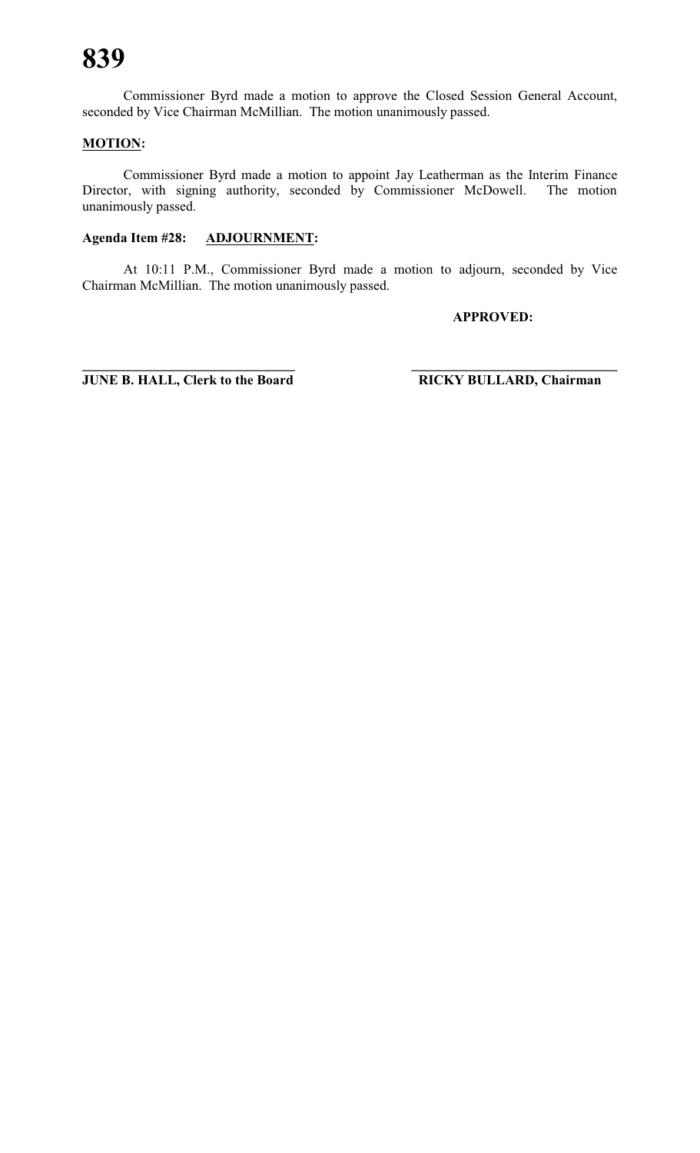Commissioner Byrd made a motion to approve the Closed Session General Account, seconded by Vice Chairman McMillian. The motion unanimously passed.

#### **MOTION:**

Commissioner Byrd made a motion to appoint Jay Leatherman as the Interim Finance Director, with signing authority, seconded by Commissioner McDowell. The motion unanimously passed.

#### **Agenda Item #28: ADJOURNMENT:**

At 10:11 P.M., Commissioner Byrd made a motion to adjourn, seconded by Vice Chairman McMillian. The motion unanimously passed.

**APPROVED:**

**JUNE B. HALL, Clerk to the Board RICKY BULLARD, Chairman** 

**\_\_\_\_\_\_\_\_\_\_\_\_\_\_\_\_\_\_\_\_\_\_\_\_\_\_\_\_\_\_\_ \_\_\_\_\_\_\_\_\_\_\_\_\_\_\_\_\_\_\_\_\_\_\_\_\_\_\_\_\_\_**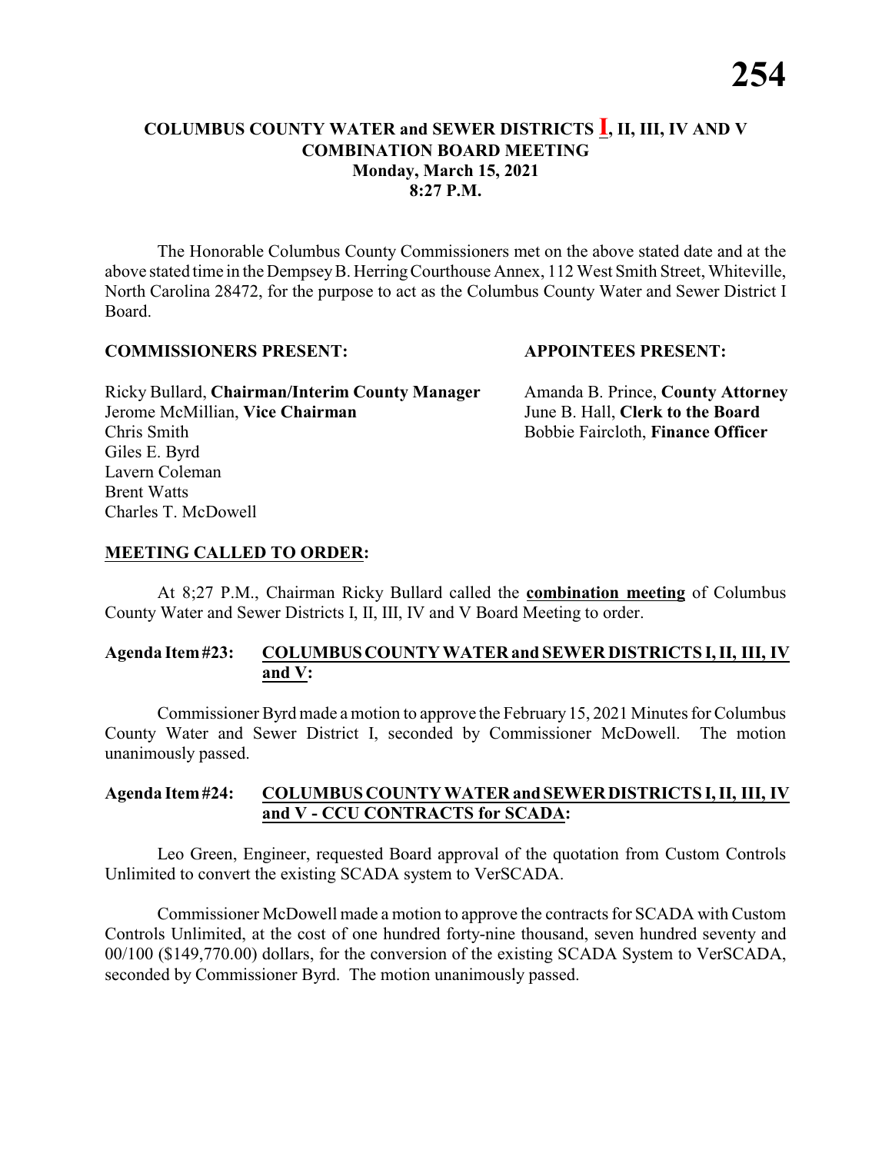#### **COLUMBUS COUNTY WATER and SEWER DISTRICTS I, II, III, IV AND V COMBINATION BOARD MEETING Monday, March 15, 2021 8:27 P.M.**

The Honorable Columbus County Commissioners met on the above stated date and at the above stated time in the DempseyB. HerringCourthouse Annex, 112 West Smith Street, Whiteville, North Carolina 28472, for the purpose to act as the Columbus County Water and Sewer District I Board.

#### **COMMISSIONERS PRESENT: APPOINTEES PRESENT:**

Ricky Bullard, **Chairman/Interim County Manager** Amanda B. Prince, **County Attorney** Jerome McMillian, **Vice Chairman** June B. Hall, **Clerk to the Board** Chris Smith Bobbie Faircloth, **Finance Officer** Giles E. Byrd Lavern Coleman Brent Watts Charles T. McDowell

#### **MEETING CALLED TO ORDER:**

At 8;27 P.M., Chairman Ricky Bullard called the **combination meeting** of Columbus County Water and Sewer Districts I, II, III, IV and V Board Meeting to order.

#### **Agenda Item#23: COLUMBUSCOUNTY WATER and SEWER DISTRICTS I, II, III, IV and V:**

Commissioner Byrd made a motion to approve the February 15, 2021 Minutes for Columbus County Water and Sewer District I, seconded by Commissioner McDowell. The motion unanimously passed.

#### **Agenda Item#24: COLUMBUS COUNTY WATER andSEWERDISTRICTS I, II, III, IV and V - CCU CONTRACTS for SCADA:**

Leo Green, Engineer, requested Board approval of the quotation from Custom Controls Unlimited to convert the existing SCADA system to VerSCADA.

Commissioner McDowell made a motion to approve the contracts for SCADA with Custom Controls Unlimited, at the cost of one hundred forty-nine thousand, seven hundred seventy and 00/100 (\$149,770.00) dollars, for the conversion of the existing SCADA System to VerSCADA, seconded by Commissioner Byrd. The motion unanimously passed.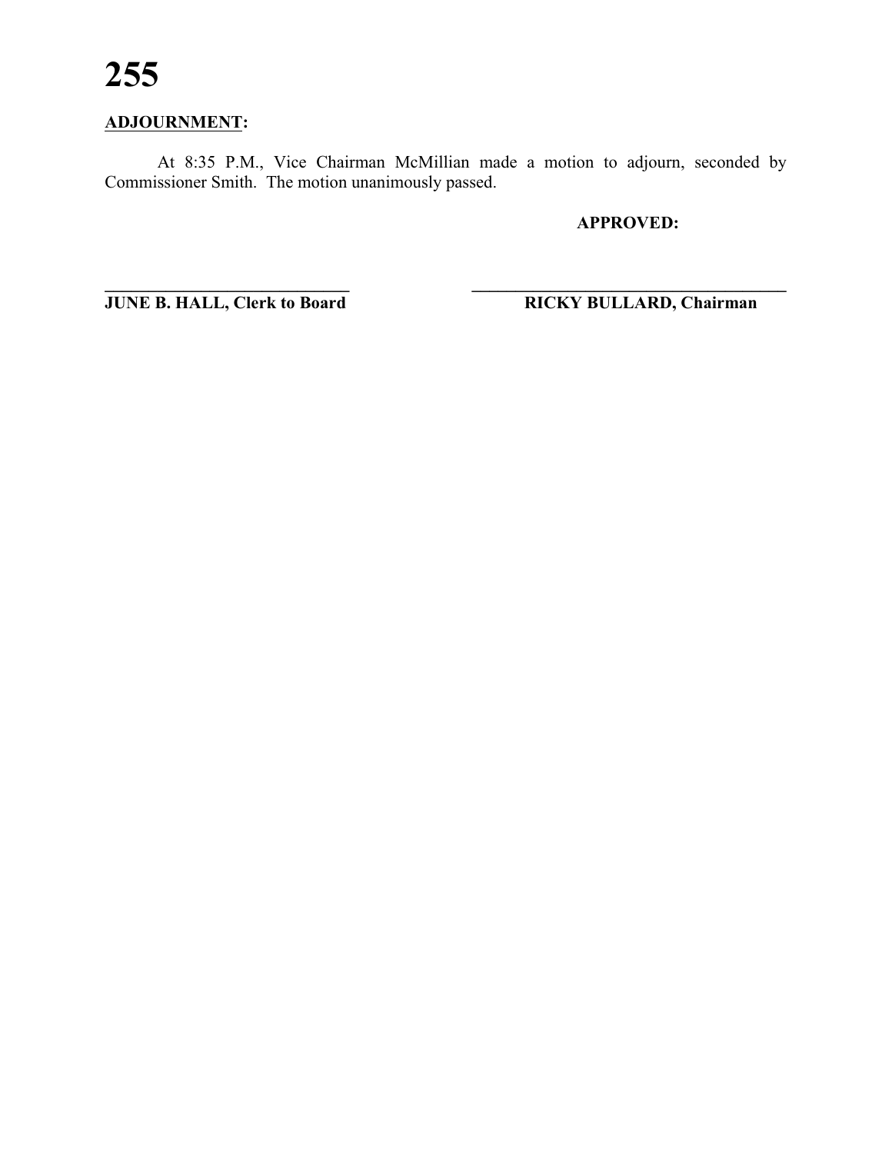### **ADJOURNMENT:**

At 8:35 P.M., Vice Chairman McMillian made a motion to adjourn, seconded by Commissioner Smith. The motion unanimously passed.

**\_\_\_\_\_\_\_\_\_\_\_\_\_\_\_\_\_\_\_\_\_\_\_\_\_\_\_\_ \_\_\_\_\_\_\_\_\_\_\_\_\_\_\_\_\_\_\_\_\_\_\_\_\_\_\_\_\_\_\_\_\_\_\_\_**

**APPROVED:**

**JUNE B. HALL, Clerk to Board RICKY BULLARD, Chairman**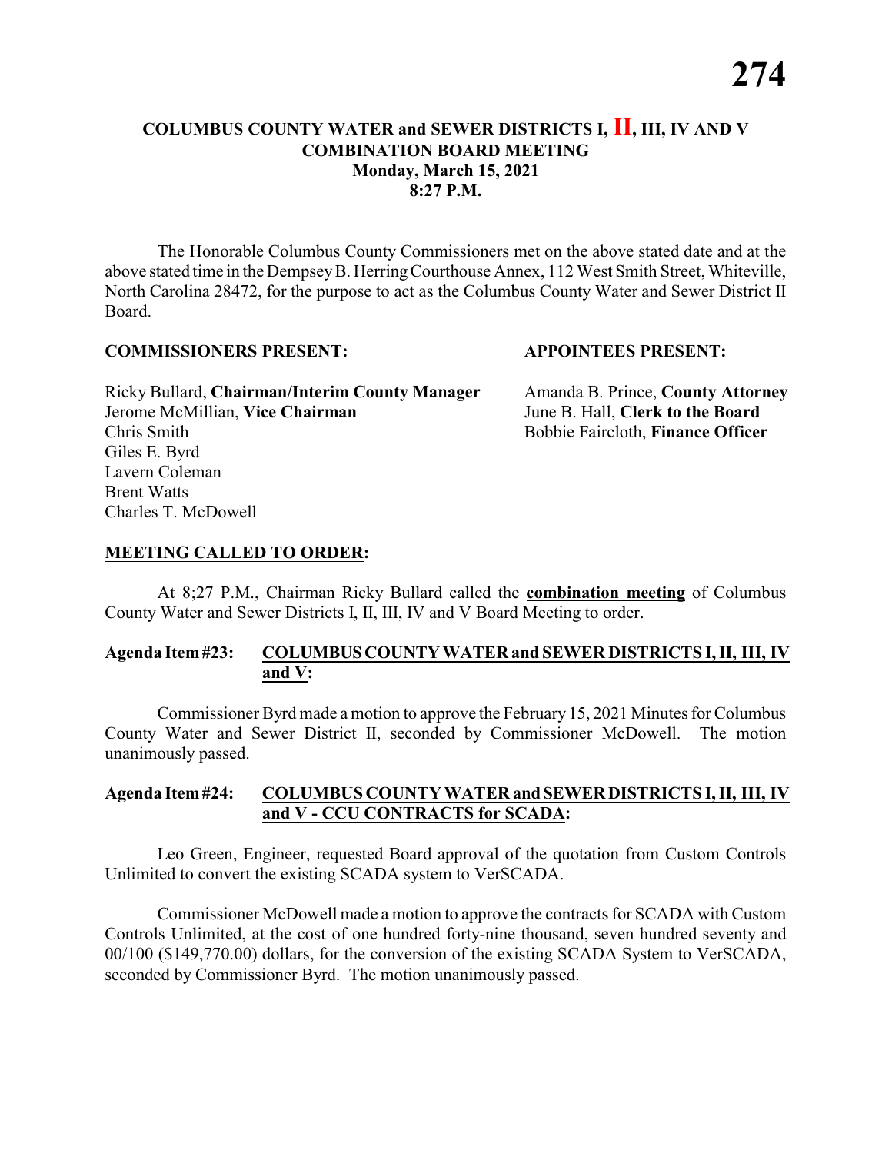#### **COLUMBUS COUNTY WATER and SEWER DISTRICTS I, II, III, IV AND V COMBINATION BOARD MEETING Monday, March 15, 2021 8:27 P.M.**

The Honorable Columbus County Commissioners met on the above stated date and at the above stated time in the DempseyB. HerringCourthouse Annex, 112 West Smith Street, Whiteville, North Carolina 28472, for the purpose to act as the Columbus County Water and Sewer District II Board.

#### **COMMISSIONERS PRESENT: APPOINTEES PRESENT:**

Ricky Bullard, **Chairman/Interim County Manager** Amanda B. Prince, **County Attorney** Jerome McMillian, **Vice Chairman** June B. Hall, **Clerk to the Board** Chris Smith Bobbie Faircloth, **Finance Officer** Giles E. Byrd Lavern Coleman Brent Watts Charles T. McDowell

#### **MEETING CALLED TO ORDER:**

At 8;27 P.M., Chairman Ricky Bullard called the **combination meeting** of Columbus County Water and Sewer Districts I, II, III, IV and V Board Meeting to order.

#### **Agenda Item#23: COLUMBUSCOUNTY WATER and SEWER DISTRICTS I, II, III, IV and V:**

Commissioner Byrd made a motion to approve the February 15, 2021 Minutes for Columbus County Water and Sewer District II, seconded by Commissioner McDowell. The motion unanimously passed.

#### **Agenda Item#24: COLUMBUS COUNTY WATER andSEWERDISTRICTS I, II, III, IV and V - CCU CONTRACTS for SCADA:**

Leo Green, Engineer, requested Board approval of the quotation from Custom Controls Unlimited to convert the existing SCADA system to VerSCADA.

Commissioner McDowell made a motion to approve the contracts for SCADA with Custom Controls Unlimited, at the cost of one hundred forty-nine thousand, seven hundred seventy and 00/100 (\$149,770.00) dollars, for the conversion of the existing SCADA System to VerSCADA, seconded by Commissioner Byrd. The motion unanimously passed.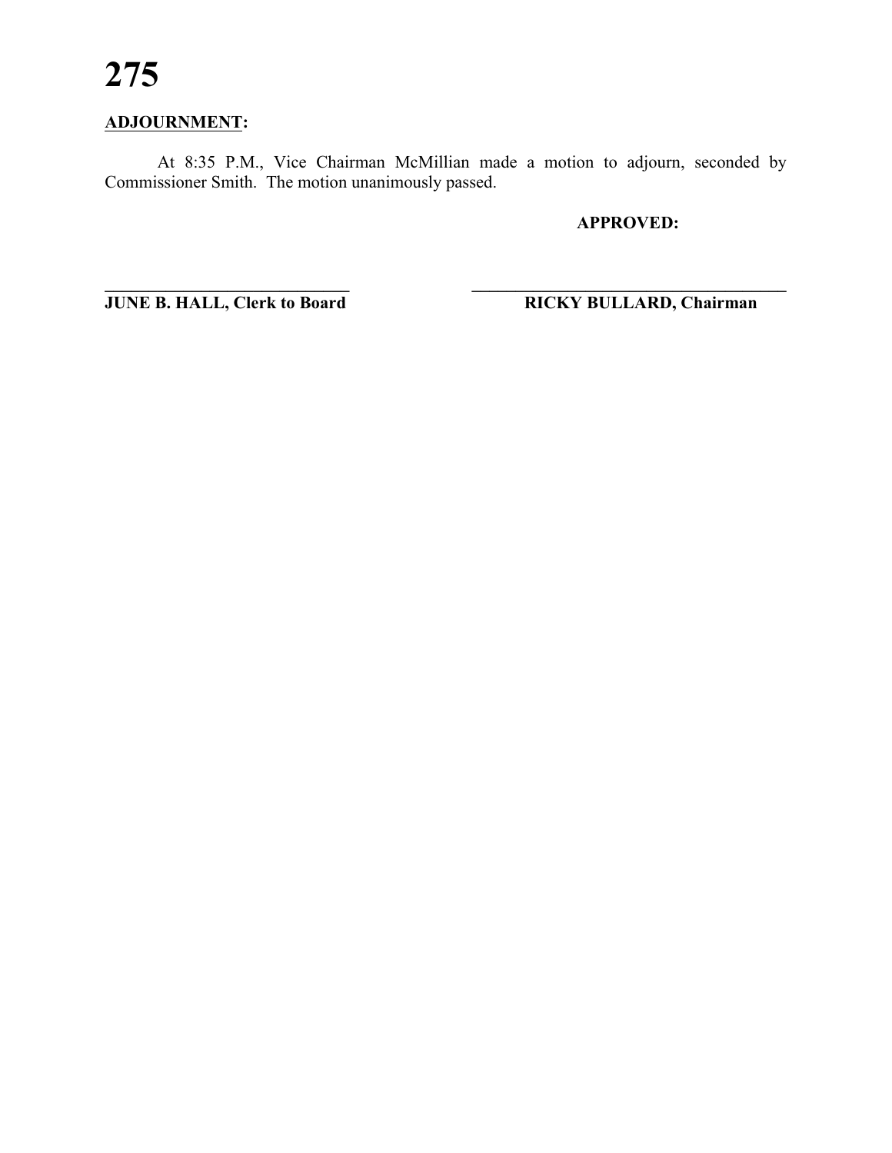### **ADJOURNMENT:**

At 8:35 P.M., Vice Chairman McMillian made a motion to adjourn, seconded by Commissioner Smith. The motion unanimously passed.

**\_\_\_\_\_\_\_\_\_\_\_\_\_\_\_\_\_\_\_\_\_\_\_\_\_\_\_\_ \_\_\_\_\_\_\_\_\_\_\_\_\_\_\_\_\_\_\_\_\_\_\_\_\_\_\_\_\_\_\_\_\_\_\_\_**

**APPROVED:**

**JUNE B. HALL, Clerk to Board RICKY BULLARD, Chairman**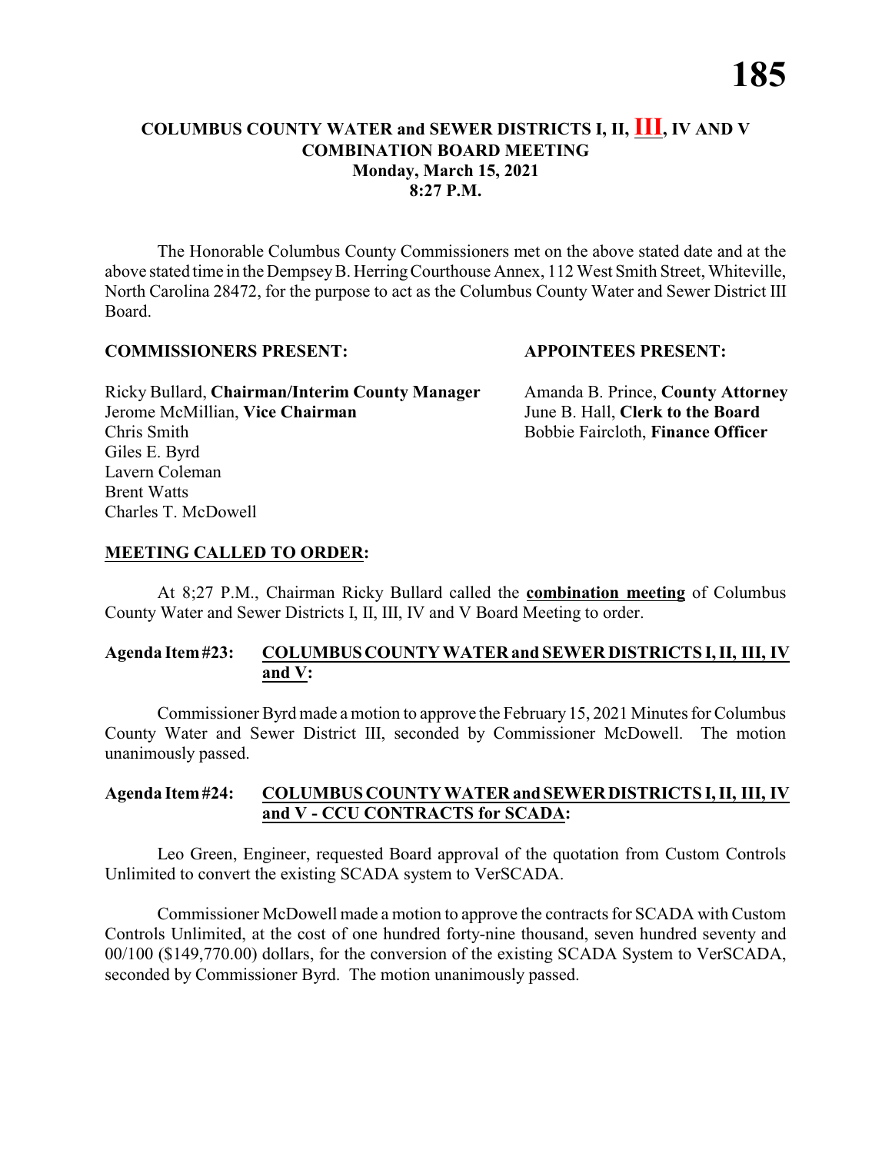#### **COLUMBUS COUNTY WATER and SEWER DISTRICTS I, II, III, IV AND V COMBINATION BOARD MEETING Monday, March 15, 2021 8:27 P.M.**

The Honorable Columbus County Commissioners met on the above stated date and at the above stated time in the DempseyB. HerringCourthouse Annex, 112 West Smith Street, Whiteville, North Carolina 28472, for the purpose to act as the Columbus County Water and Sewer District III Board.

#### **COMMISSIONERS PRESENT: APPOINTEES PRESENT:**

Ricky Bullard, **Chairman/Interim County Manager** Amanda B. Prince, **County Attorney** Jerome McMillian, **Vice Chairman** June B. Hall, **Clerk to the Board** Chris Smith Bobbie Faircloth, **Finance Officer** Giles E. Byrd Lavern Coleman Brent Watts Charles T. McDowell

#### **MEETING CALLED TO ORDER:**

At 8;27 P.M., Chairman Ricky Bullard called the **combination meeting** of Columbus County Water and Sewer Districts I, II, III, IV and V Board Meeting to order.

#### **Agenda Item#23: COLUMBUSCOUNTY WATER and SEWER DISTRICTS I, II, III, IV and V:**

Commissioner Byrd made a motion to approve the February 15, 2021 Minutes for Columbus County Water and Sewer District III, seconded by Commissioner McDowell. The motion unanimously passed.

#### **Agenda Item#24: COLUMBUS COUNTY WATER andSEWERDISTRICTS I, II, III, IV and V - CCU CONTRACTS for SCADA:**

Leo Green, Engineer, requested Board approval of the quotation from Custom Controls Unlimited to convert the existing SCADA system to VerSCADA.

Commissioner McDowell made a motion to approve the contracts for SCADA with Custom Controls Unlimited, at the cost of one hundred forty-nine thousand, seven hundred seventy and 00/100 (\$149,770.00) dollars, for the conversion of the existing SCADA System to VerSCADA, seconded by Commissioner Byrd. The motion unanimously passed.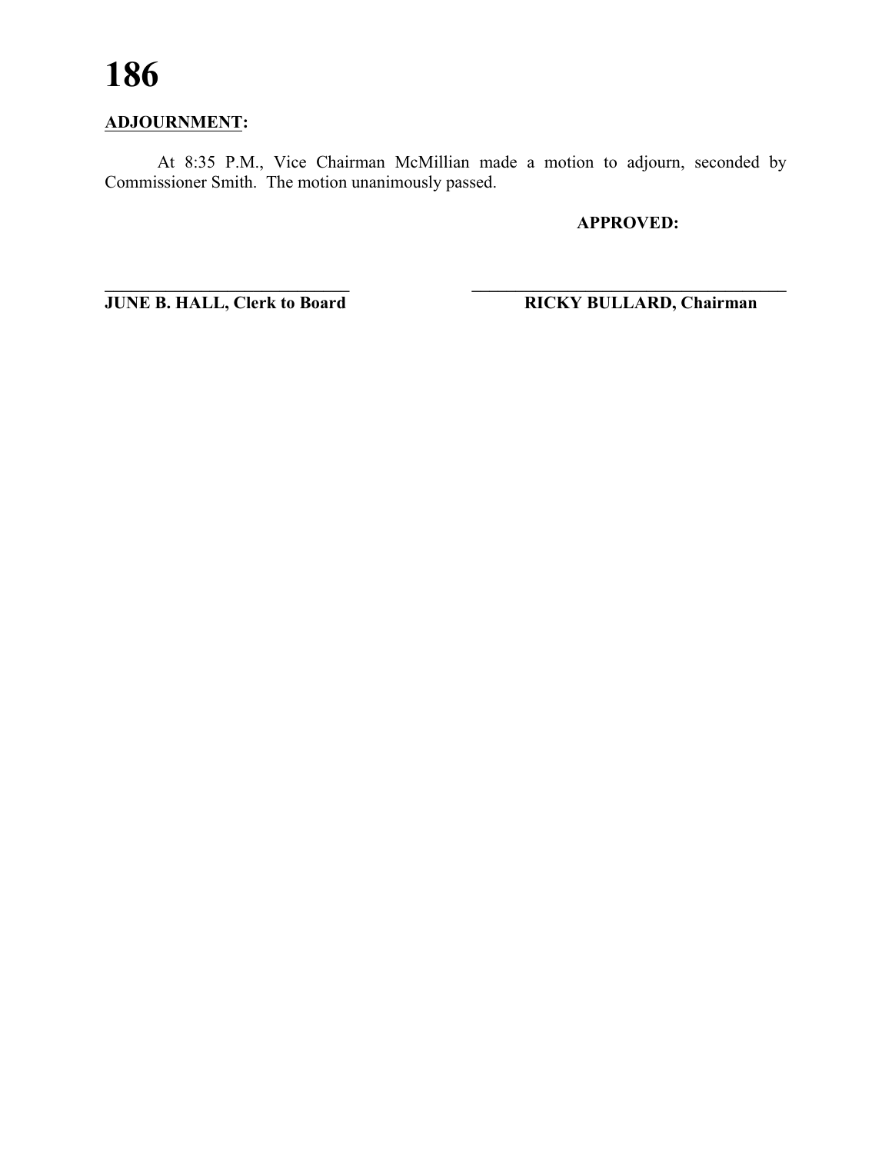### **ADJOURNMENT:**

At 8:35 P.M., Vice Chairman McMillian made a motion to adjourn, seconded by Commissioner Smith. The motion unanimously passed.

**\_\_\_\_\_\_\_\_\_\_\_\_\_\_\_\_\_\_\_\_\_\_\_\_\_\_\_\_ \_\_\_\_\_\_\_\_\_\_\_\_\_\_\_\_\_\_\_\_\_\_\_\_\_\_\_\_\_\_\_\_\_\_\_\_**

**APPROVED:**

**JUNE B. HALL, Clerk to Board RICKY BULLARD, Chairman**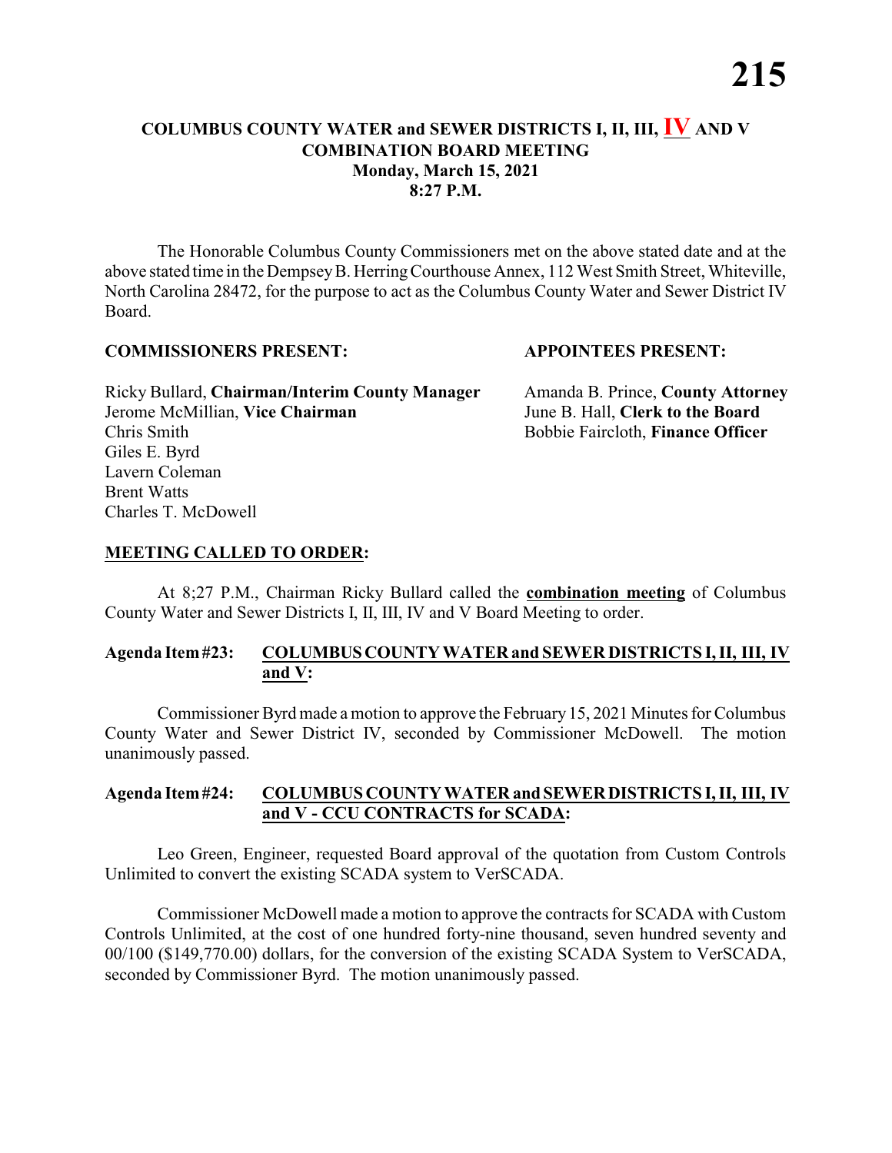#### **COLUMBUS COUNTY WATER and SEWER DISTRICTS I, II, III, IV AND V COMBINATION BOARD MEETING Monday, March 15, 2021 8:27 P.M.**

The Honorable Columbus County Commissioners met on the above stated date and at the above stated time in the DempseyB. HerringCourthouse Annex, 112 West Smith Street, Whiteville, North Carolina 28472, for the purpose to act as the Columbus County Water and Sewer District IV Board.

#### **COMMISSIONERS PRESENT: APPOINTEES PRESENT:**

Ricky Bullard, **Chairman/Interim County Manager** Amanda B. Prince, **County Attorney** Jerome McMillian, **Vice Chairman** June B. Hall, **Clerk to the Board** Chris Smith Bobbie Faircloth, **Finance Officer** Giles E. Byrd Lavern Coleman Brent Watts Charles T. McDowell

#### **MEETING CALLED TO ORDER:**

At 8;27 P.M., Chairman Ricky Bullard called the **combination meeting** of Columbus County Water and Sewer Districts I, II, III, IV and V Board Meeting to order.

#### **Agenda Item#23: COLUMBUSCOUNTY WATER and SEWER DISTRICTS I, II, III, IV and V:**

Commissioner Byrd made a motion to approve the February 15, 2021 Minutes for Columbus County Water and Sewer District IV, seconded by Commissioner McDowell. The motion unanimously passed.

#### **Agenda Item#24: COLUMBUS COUNTY WATER andSEWERDISTRICTS I, II, III, IV and V - CCU CONTRACTS for SCADA:**

Leo Green, Engineer, requested Board approval of the quotation from Custom Controls Unlimited to convert the existing SCADA system to VerSCADA.

Commissioner McDowell made a motion to approve the contracts for SCADA with Custom Controls Unlimited, at the cost of one hundred forty-nine thousand, seven hundred seventy and 00/100 (\$149,770.00) dollars, for the conversion of the existing SCADA System to VerSCADA, seconded by Commissioner Byrd. The motion unanimously passed.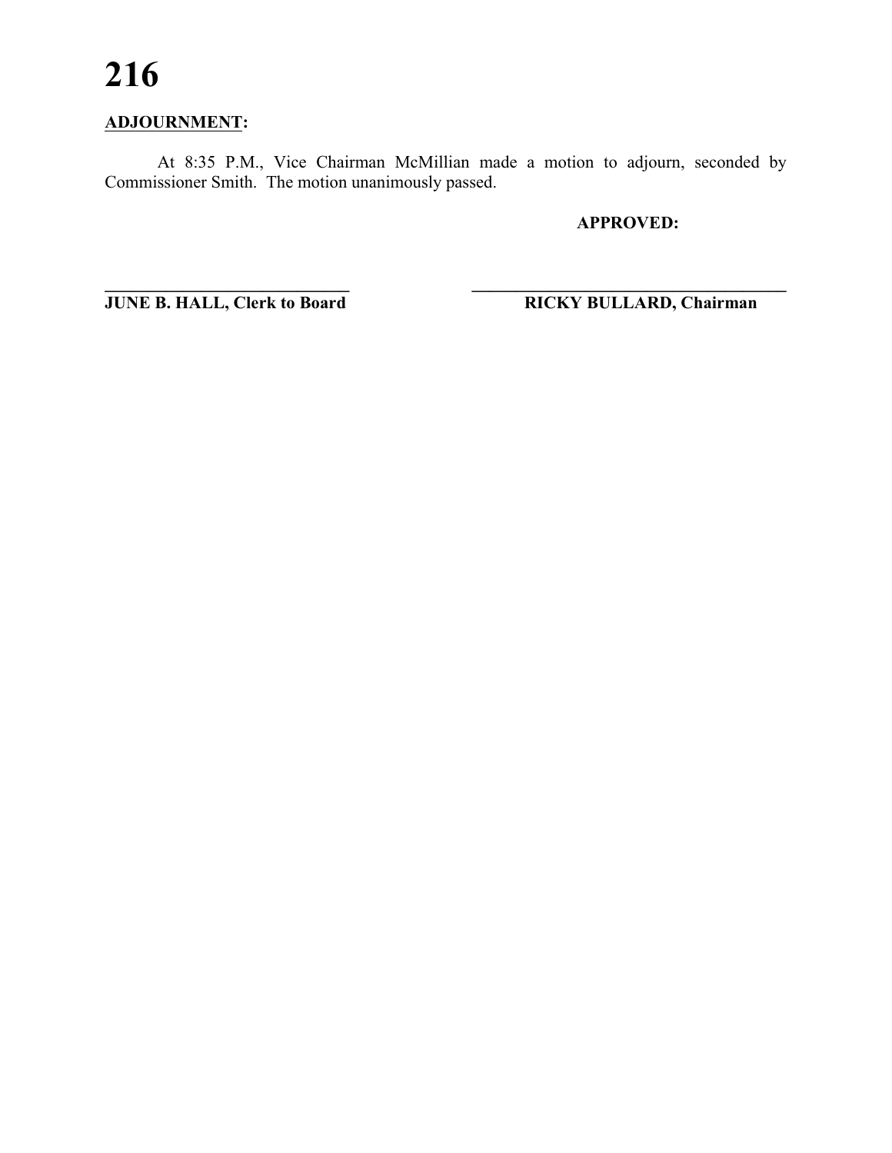### **ADJOURNMENT:**

At 8:35 P.M., Vice Chairman McMillian made a motion to adjourn, seconded by Commissioner Smith. The motion unanimously passed.

**\_\_\_\_\_\_\_\_\_\_\_\_\_\_\_\_\_\_\_\_\_\_\_\_\_\_\_\_ \_\_\_\_\_\_\_\_\_\_\_\_\_\_\_\_\_\_\_\_\_\_\_\_\_\_\_\_\_\_\_\_\_\_\_\_**

**APPROVED:**

**JUNE B. HALL, Clerk to Board RICKY BULLARD, Chairman**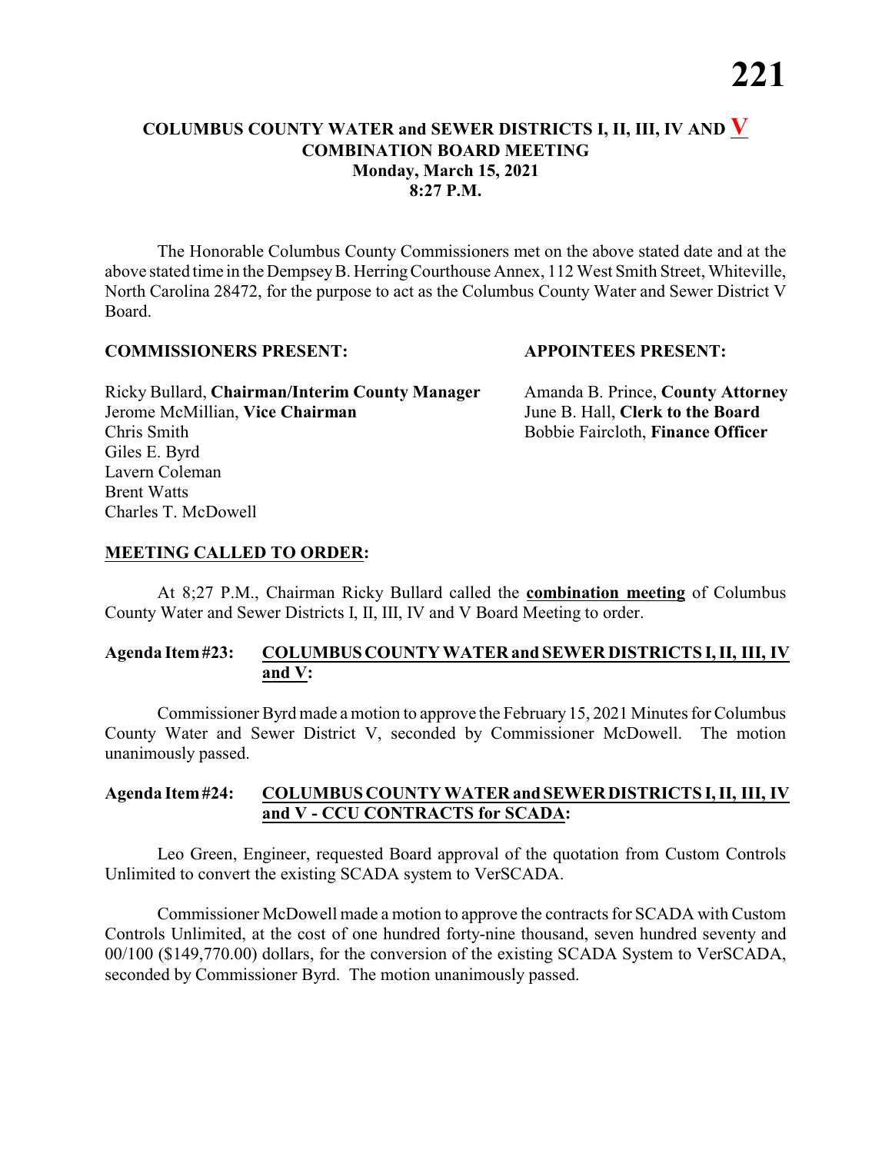#### **COLUMBUS COUNTY WATER and SEWER DISTRICTS I, II, III, IV AND V COMBINATION BOARD MEETING Monday, March 15, 2021 8:27 P.M.**

The Honorable Columbus County Commissioners met on the above stated date and at the above stated time in the DempseyB. HerringCourthouse Annex, 112 West Smith Street, Whiteville, North Carolina 28472, for the purpose to act as the Columbus County Water and Sewer District V Board.

#### **COMMISSIONERS PRESENT: APPOINTEES PRESENT:**

Ricky Bullard, **Chairman/Interim County Manager** Amanda B. Prince, **County Attorney** Jerome McMillian, **Vice Chairman** June B. Hall, **Clerk to the Board** Chris Smith Bobbie Faircloth, **Finance Officer** Giles E. Byrd Lavern Coleman Brent Watts Charles T. McDowell

#### **MEETING CALLED TO ORDER:**

At 8;27 P.M., Chairman Ricky Bullard called the **combination meeting** of Columbus County Water and Sewer Districts I, II, III, IV and V Board Meeting to order.

#### **Agenda Item#23: COLUMBUSCOUNTY WATER and SEWER DISTRICTS I, II, III, IV and V:**

Commissioner Byrd made a motion to approve the February 15, 2021 Minutes for Columbus County Water and Sewer District V, seconded by Commissioner McDowell. The motion unanimously passed.

#### **Agenda Item#24: COLUMBUS COUNTY WATER andSEWERDISTRICTS I, II, III, IV and V - CCU CONTRACTS for SCADA:**

Leo Green, Engineer, requested Board approval of the quotation from Custom Controls Unlimited to convert the existing SCADA system to VerSCADA.

Commissioner McDowell made a motion to approve the contracts for SCADA with Custom Controls Unlimited, at the cost of one hundred forty-nine thousand, seven hundred seventy and 00/100 (\$149,770.00) dollars, for the conversion of the existing SCADA System to VerSCADA, seconded by Commissioner Byrd. The motion unanimously passed.